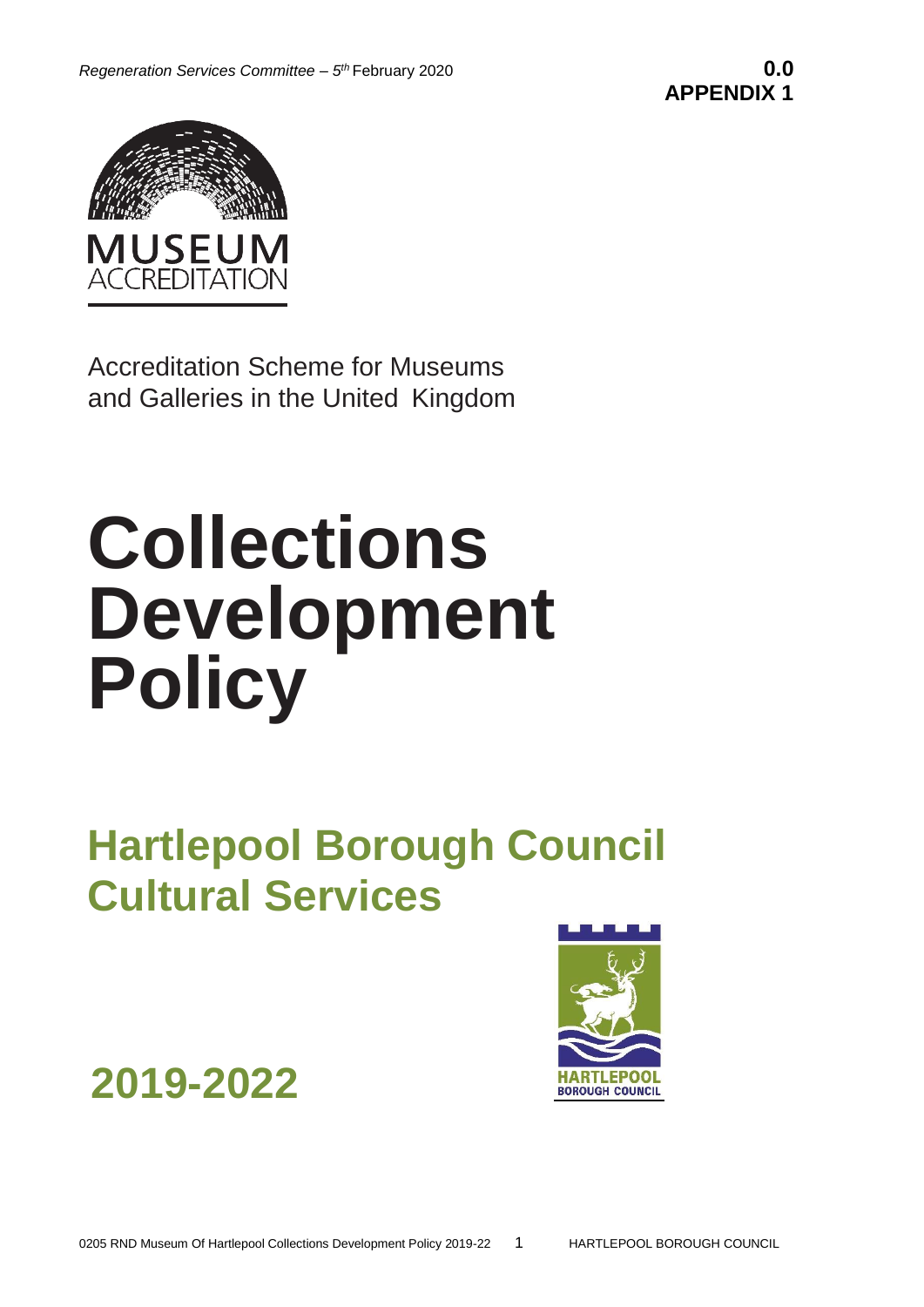

Accreditation Scheme for Museums and Galleries in the United Kingdom

# **Collections Development Policy**

**Hartlepool Borough Council Cultural Services**

**2019-2022** 

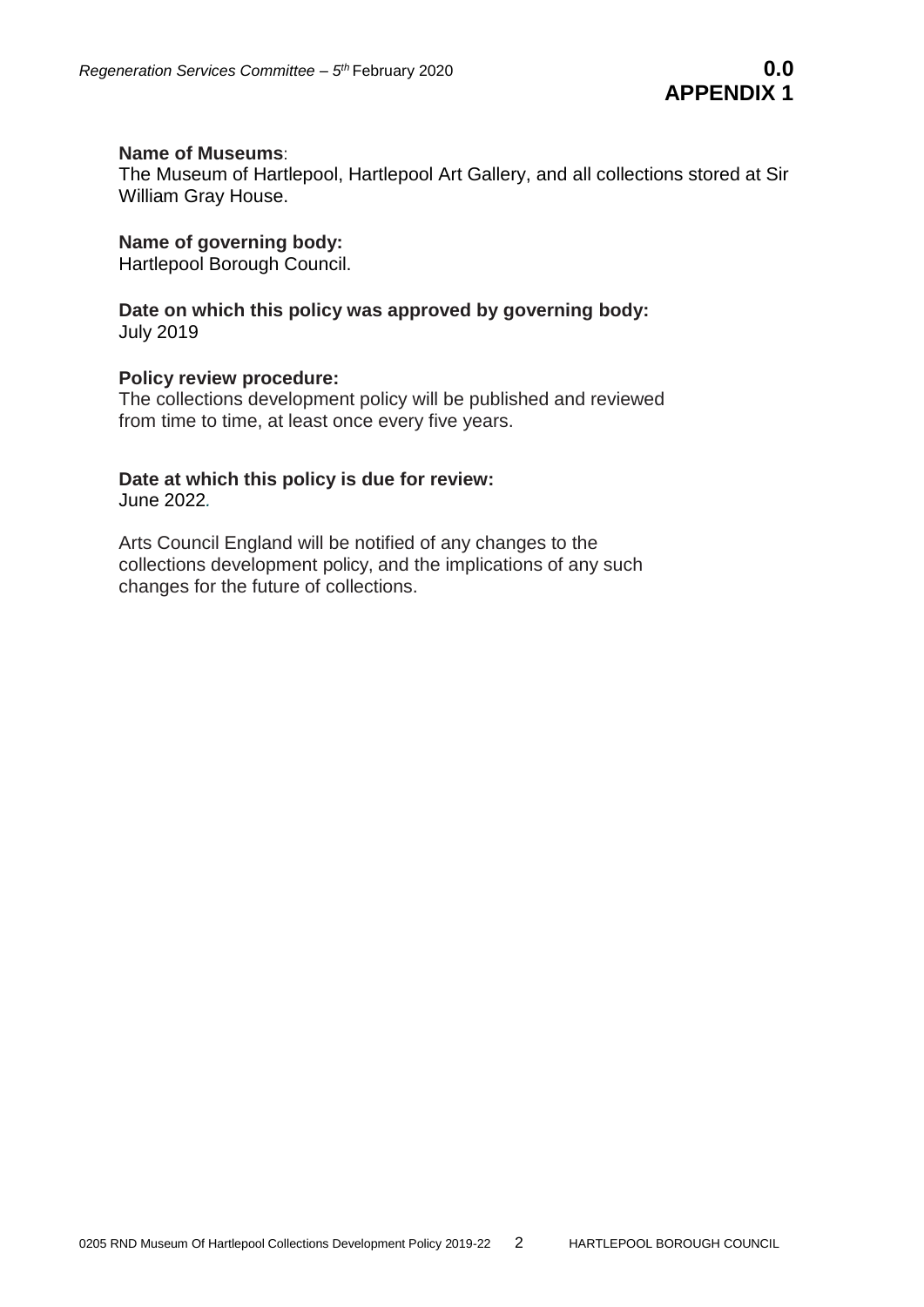#### **Name of Museums**:

The Museum of Hartlepool, Hartlepool Art Gallery, and all collections stored at Sir William Gray House.

# **Name of governing body:**

Hartlepool Borough Council.

#### **Date on which this policy was approved by governing body:** July 2019

#### **Policy review procedure:**

The collections development policy will be published and reviewed from time to time, at least once every five years.

# **Date at which this policy is due for review:**

June 2022*.*

Arts Council England will be notified of any changes to the collections development policy, and the implications of any such changes for the future of collections.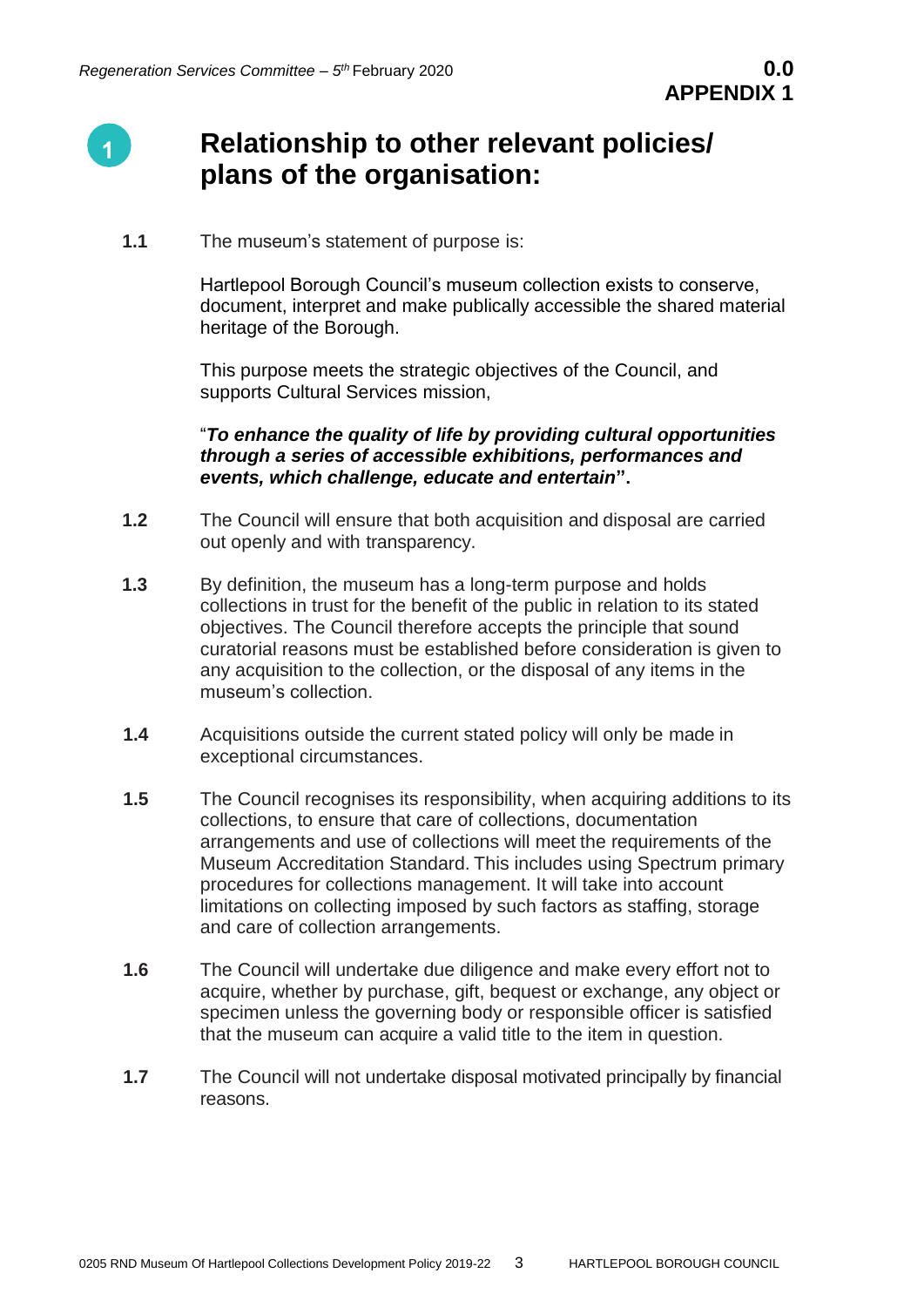

# **Relationship to other relevant policies/ plans of the organisation:**

**1.1** The museum's statement of purpose is:

Hartlepool Borough Council's museum collection exists to conserve, document, interpret and make publically accessible the shared material heritage of the Borough.

This purpose meets the strategic objectives of the Council, and supports Cultural Services mission,

### "*To enhance the quality of life by providing cultural opportunities through a series of accessible exhibitions, performances and events, which challenge, educate and entertain***".**

- **1.2** The Council will ensure that both acquisition and disposal are carried out openly and with transparency.
- **1.3** By definition, the museum has a long-term purpose and holds collections in trust for the benefit of the public in relation to its stated objectives. The Council therefore accepts the principle that sound curatorial reasons must be established before consideration is given to any acquisition to the collection, or the disposal of any items in the museum's collection.
- **1.4** Acquisitions outside the current stated policy will only be made in exceptional circumstances.
- **1.5** The Council recognises its responsibility, when acquiring additions to its collections, to ensure that care of collections, documentation arrangements and use of collections will meet the requirements of the Museum Accreditation Standard. This includes using Spectrum primary procedures for collections management. It will take into account limitations on collecting imposed by such factors as staffing, storage and care of collection arrangements.
- **1.6** The Council will undertake due diligence and make every effort not to acquire, whether by purchase, gift, bequest or exchange, any object or specimen unless the governing body or responsible officer is satisfied that the museum can acquire a valid title to the item in question.
- **1.7** The Council will not undertake disposal motivated principally by financial reasons.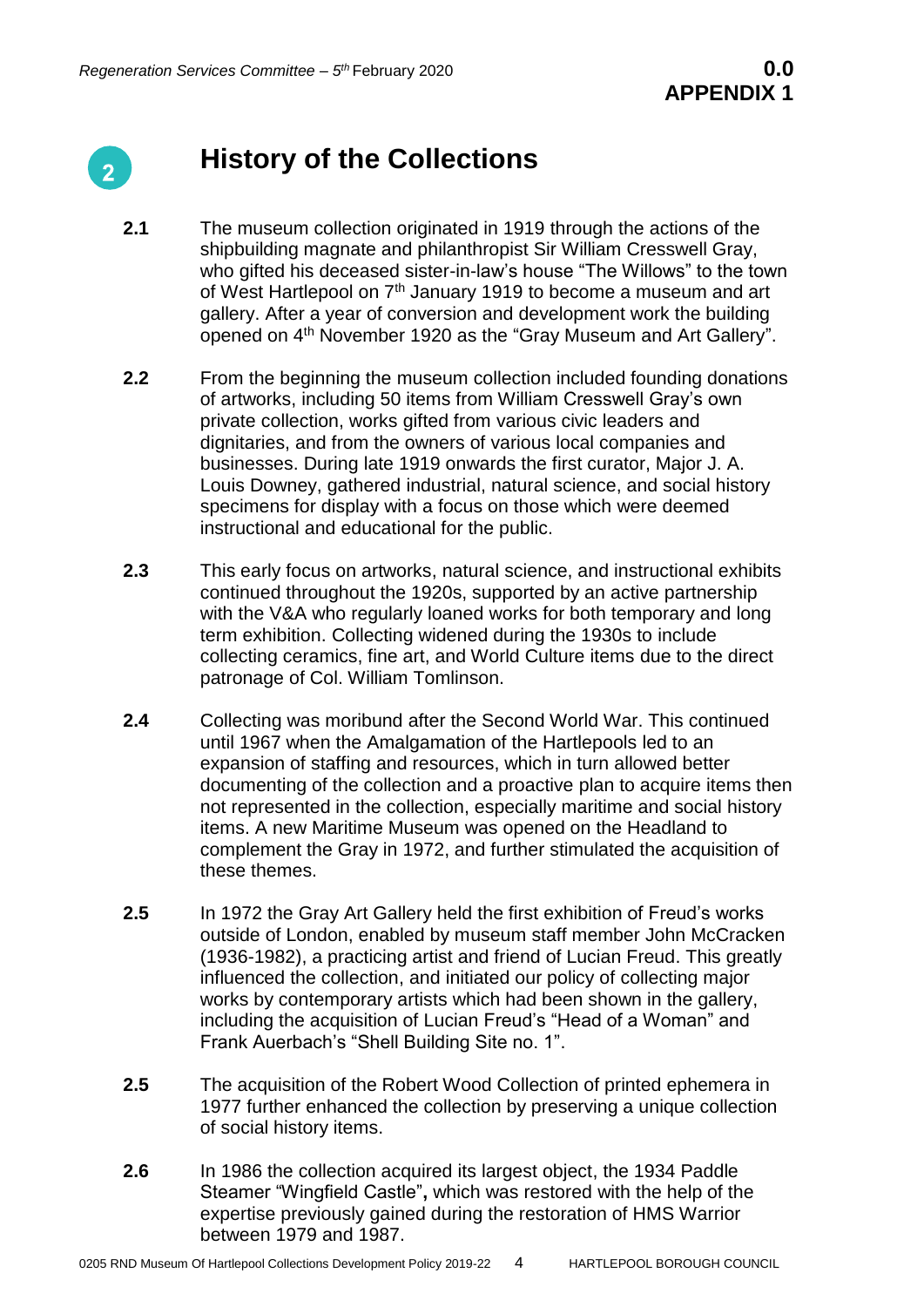

# **History of the Collections**

- **2.1** The museum collection originated in 1919 through the actions of the shipbuilding magnate and philanthropist Sir William Cresswell Gray, who gifted his deceased sister-in-law's house "The Willows" to the town of West Hartlepool on 7<sup>th</sup> January 1919 to become a museum and art gallery. After a year of conversion and development work the building opened on 4th November 1920 as the "Gray Museum and Art Gallery".
- **2.2** From the beginning the museum collection included founding donations of artworks, including 50 items from William Cresswell Gray's own private collection, works gifted from various civic leaders and dignitaries, and from the owners of various local companies and businesses. During late 1919 onwards the first curator, Major J. A. Louis Downey, gathered industrial, natural science, and social history specimens for display with a focus on those which were deemed instructional and educational for the public.
- **2.3** This early focus on artworks, natural science, and instructional exhibits continued throughout the 1920s, supported by an active partnership with the V&A who regularly loaned works for both temporary and long term exhibition. Collecting widened during the 1930s to include collecting ceramics, fine art, and World Culture items due to the direct patronage of Col. William Tomlinson.
- **2.4** Collecting was moribund after the Second World War. This continued until 1967 when the Amalgamation of the Hartlepools led to an expansion of staffing and resources, which in turn allowed better documenting of the collection and a proactive plan to acquire items then not represented in the collection, especially maritime and social history items. A new Maritime Museum was opened on the Headland to complement the Gray in 1972, and further stimulated the acquisition of these themes.
- **2.5** In 1972 the Gray Art Gallery held the first exhibition of Freud's works outside of London, enabled by museum staff member John McCracken (1936-1982), a practicing artist and friend of Lucian Freud. This greatly influenced the collection, and initiated our policy of collecting major works by contemporary artists which had been shown in the gallery, including the acquisition of Lucian Freud's "Head of a Woman" and Frank Auerbach's "Shell Building Site no. 1".
- **2.5** The acquisition of the Robert Wood Collection of printed ephemera in 1977 further enhanced the collection by preserving a unique collection of social history items.
- **2.6** In 1986 the collection acquired its largest object, the 1934 Paddle Steamer "Wingfield Castle"**,** which was restored with the help of the expertise previously gained during the restoration of HMS Warrior between 1979 and 1987.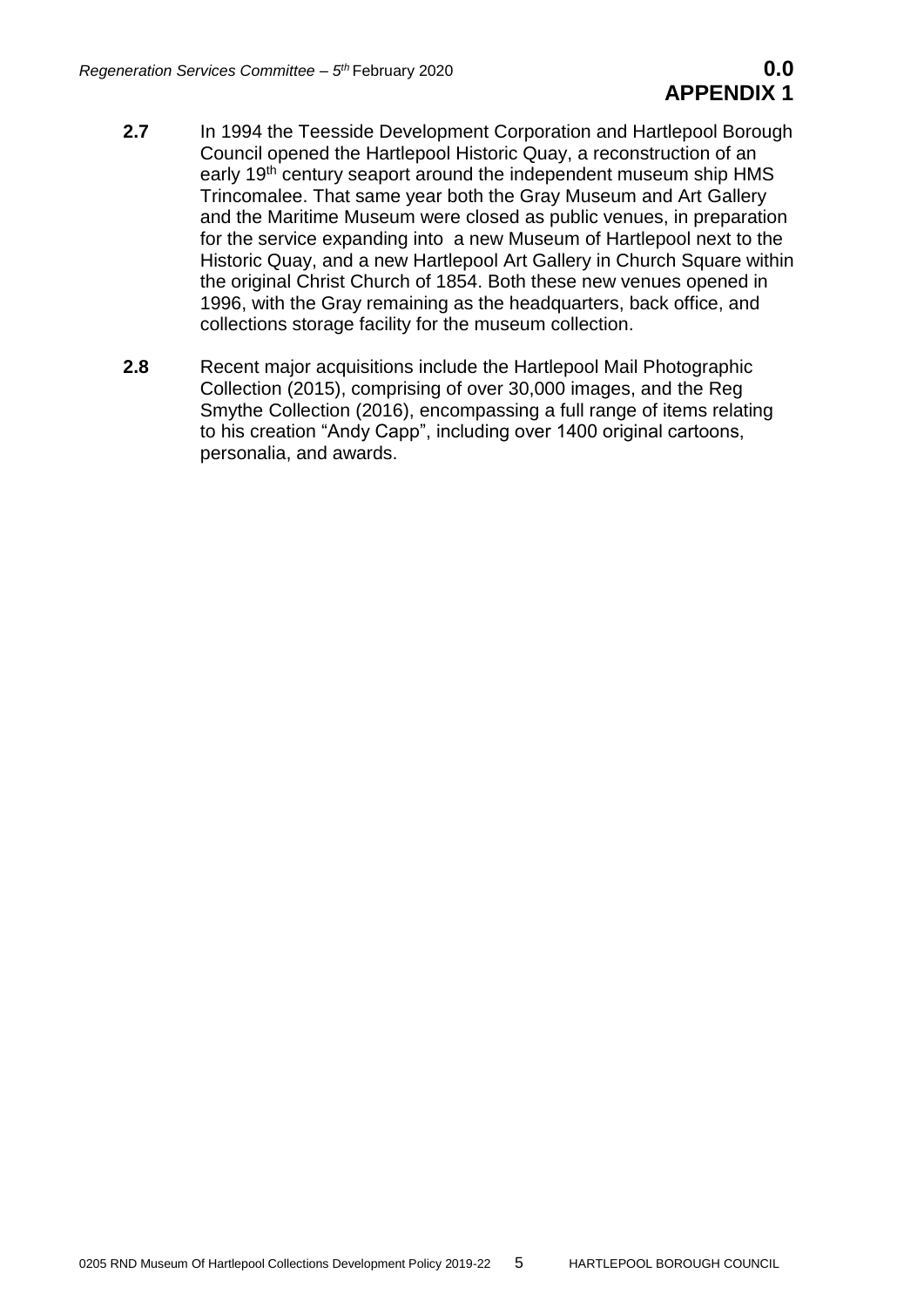- **2.7** In 1994 the Teesside Development Corporation and Hartlepool Borough Council opened the Hartlepool Historic Quay, a reconstruction of an early 19<sup>th</sup> century seaport around the independent museum ship HMS Trincomalee. That same year both the Gray Museum and Art Gallery and the Maritime Museum were closed as public venues, in preparation for the service expanding into a new Museum of Hartlepool next to the Historic Quay, and a new Hartlepool Art Gallery in Church Square within the original Christ Church of 1854. Both these new venues opened in 1996, with the Gray remaining as the headquarters, back office, and collections storage facility for the museum collection.
- **2.8** Recent major acquisitions include the Hartlepool Mail Photographic Collection (2015), comprising of over 30,000 images, and the Reg Smythe Collection (2016), encompassing a full range of items relating to his creation "Andy Capp", including over 1400 original cartoons, personalia, and awards.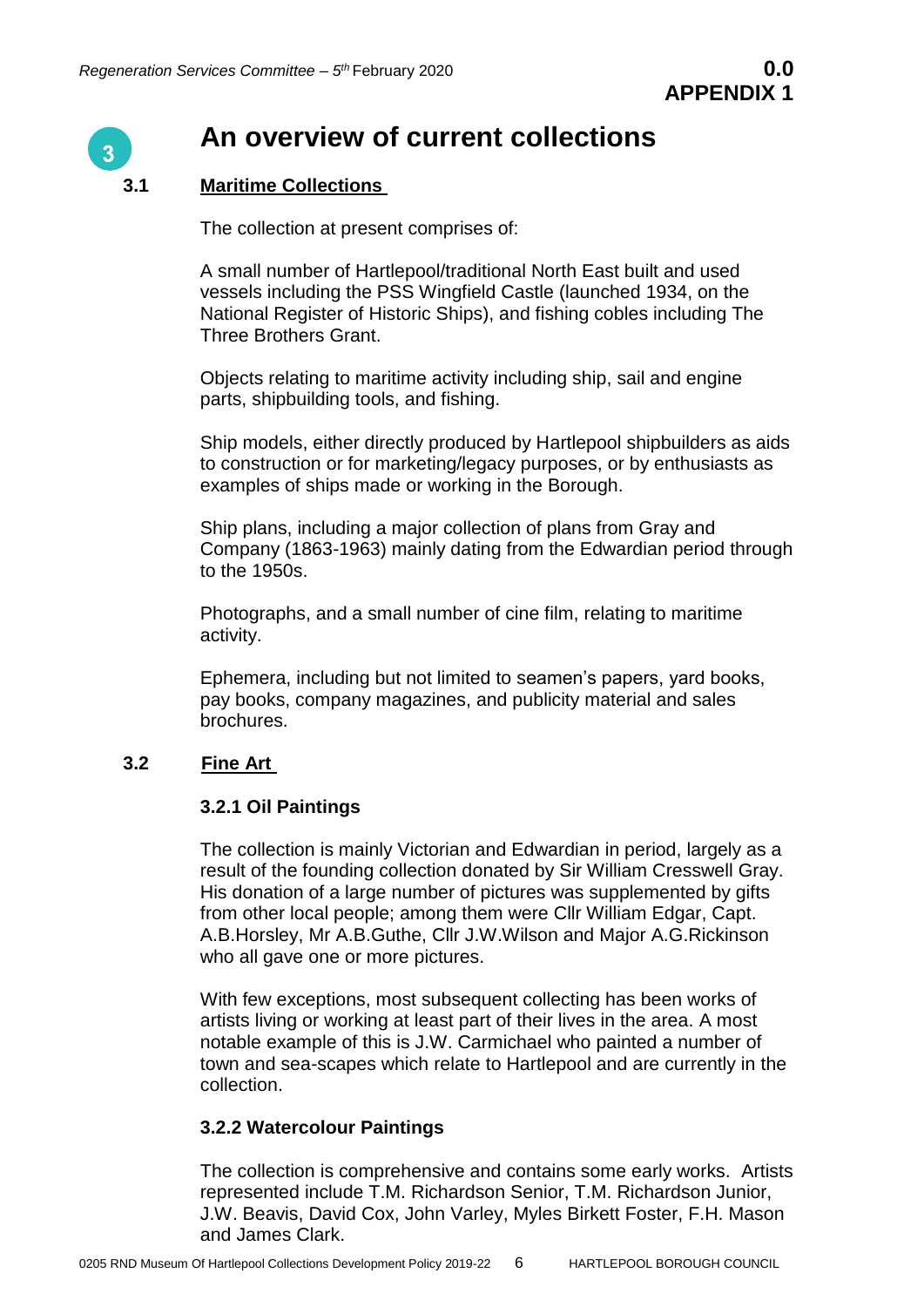

# **An overview of current collections**

# **3.1 Maritime Collections**

The collection at present comprises of:

A small number of Hartlepool/traditional North East built and used vessels including the PSS Wingfield Castle (launched 1934, on the National Register of Historic Ships), and fishing cobles including The Three Brothers Grant.

Objects relating to maritime activity including ship, sail and engine parts, shipbuilding tools, and fishing.

Ship models, either directly produced by Hartlepool shipbuilders as aids to construction or for marketing/legacy purposes, or by enthusiasts as examples of ships made or working in the Borough.

Ship plans, including a major collection of plans from Gray and Company (1863-1963) mainly dating from the Edwardian period through to the 1950s.

Photographs, and a small number of cine film, relating to maritime activity.

Ephemera, including but not limited to seamen's papers, yard books, pay books, company magazines, and publicity material and sales brochures.

# **3.2 Fine Art**

# **3.2.1 Oil Paintings**

The collection is mainly Victorian and Edwardian in period, largely as a result of the founding collection donated by Sir William Cresswell Gray. His donation of a large number of pictures was supplemented by gifts from other local people; among them were Cllr William Edgar, Capt. A.B.Horsley, Mr A.B.Guthe, Cllr J.W.Wilson and Major A.G.Rickinson who all gave one or more pictures.

With few exceptions, most subsequent collecting has been works of artists living or working at least part of their lives in the area. A most notable example of this is J.W. Carmichael who painted a number of town and sea-scapes which relate to Hartlepool and are currently in the collection.

# **3.2.2 Watercolour Paintings**

The collection is comprehensive and contains some early works. Artists represented include T.M. Richardson Senior, T.M. Richardson Junior, J.W. Beavis, David Cox, John Varley, Myles Birkett Foster, F.H. Mason and James Clark.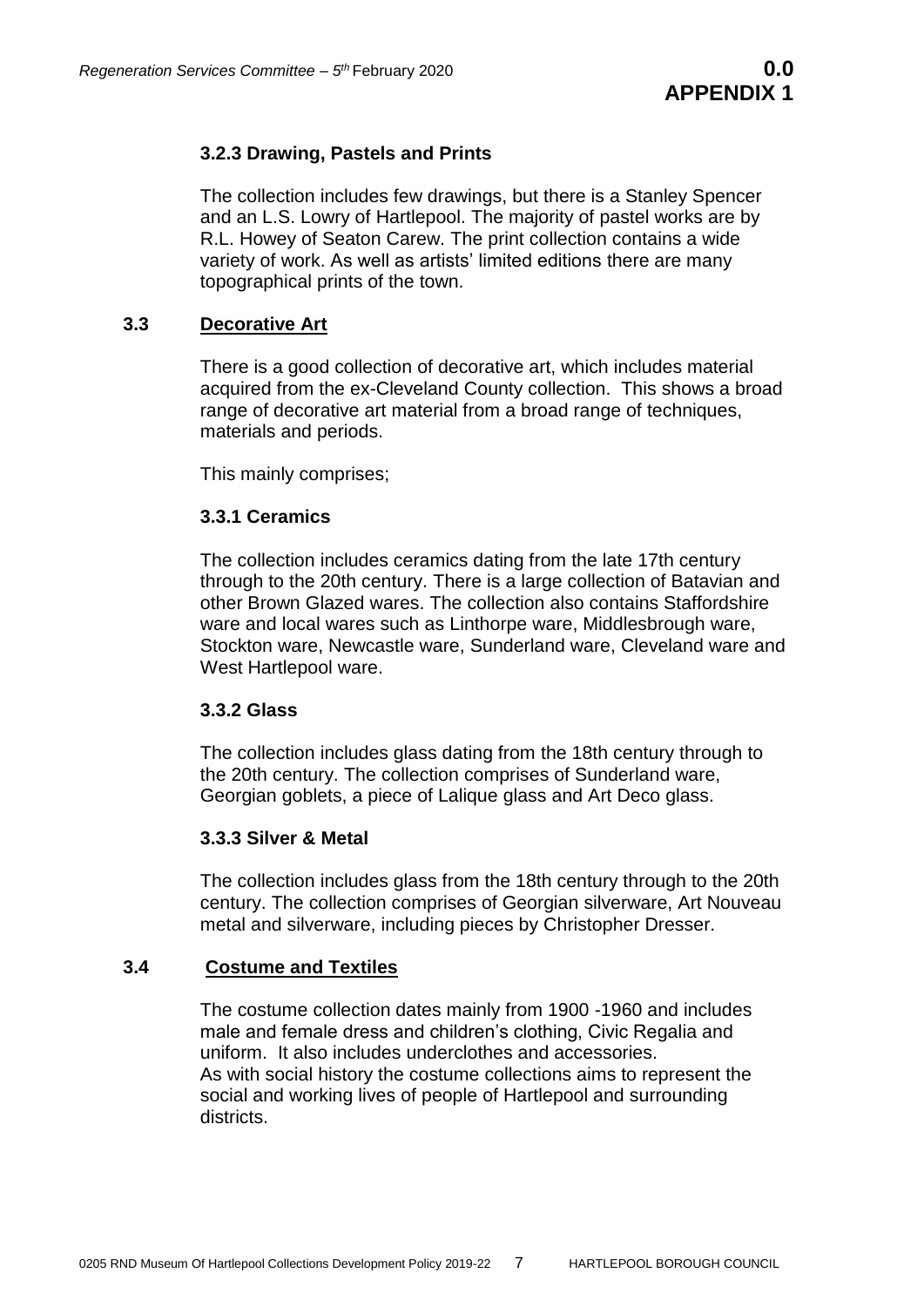# **3.2.3 Drawing, Pastels and Prints**

The collection includes few drawings, but there is a Stanley Spencer and an L.S. Lowry of Hartlepool. The majority of pastel works are by R.L. Howey of Seaton Carew. The print collection contains a wide variety of work. As well as artists' limited editions there are many topographical prints of the town.

# **3.3 Decorative Art**

There is a good collection of decorative art, which includes material acquired from the ex-Cleveland County collection. This shows a broad range of decorative art material from a broad range of techniques, materials and periods.

This mainly comprises;

# **3.3.1 Ceramics**

The collection includes ceramics dating from the late 17th century through to the 20th century. There is a large collection of Batavian and other Brown Glazed wares. The collection also contains Staffordshire ware and local wares such as Linthorpe ware, Middlesbrough ware, Stockton ware, Newcastle ware, Sunderland ware, Cleveland ware and West Hartlepool ware.

# **3.3.2 Glass**

The collection includes glass dating from the 18th century through to the 20th century. The collection comprises of Sunderland ware, Georgian goblets, a piece of Lalique glass and Art Deco glass.

# **3.3.3 Silver & Metal**

The collection includes glass from the 18th century through to the 20th century. The collection comprises of Georgian silverware, Art Nouveau metal and silverware, including pieces by Christopher Dresser.

# **3.4 Costume and Textiles**

The costume collection dates mainly from 1900 -1960 and includes male and female dress and children's clothing, Civic Regalia and uniform. It also includes underclothes and accessories. As with social history the costume collections aims to represent the social and working lives of people of Hartlepool and surrounding districts.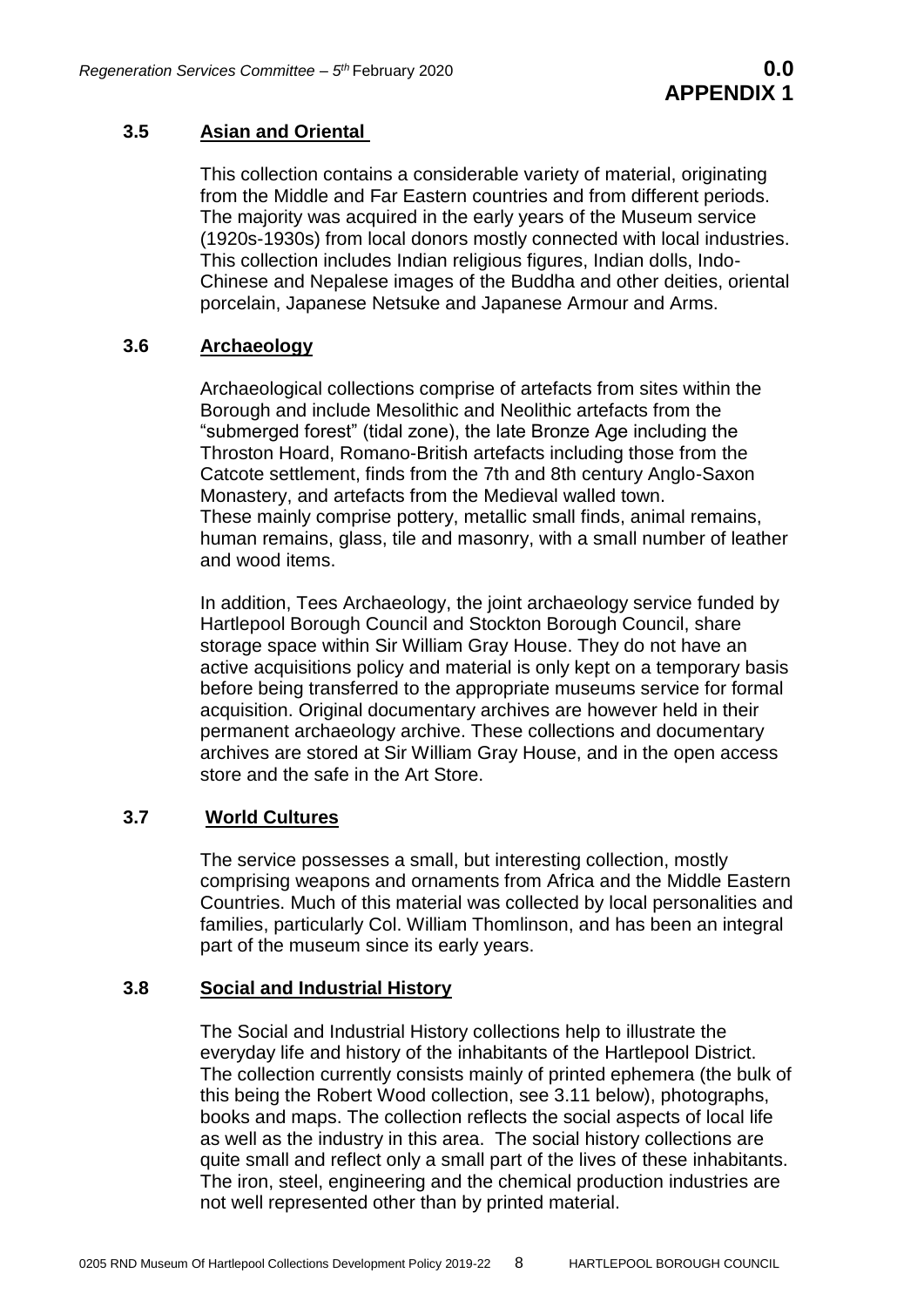# **3.5 Asian and Oriental**

This collection contains a considerable variety of material, originating from the Middle and Far Eastern countries and from different periods. The majority was acquired in the early years of the Museum service (1920s-1930s) from local donors mostly connected with local industries. This collection includes Indian religious figures, Indian dolls, Indo-Chinese and Nepalese images of the Buddha and other deities, oriental porcelain, Japanese Netsuke and Japanese Armour and Arms.

# **3.6 Archaeology**

Archaeological collections comprise of artefacts from sites within the Borough and include Mesolithic and Neolithic artefacts from the "submerged forest" (tidal zone), the late Bronze Age including the Throston Hoard, Romano-British artefacts including those from the Catcote settlement, finds from the 7th and 8th century Anglo-Saxon Monastery, and artefacts from the Medieval walled town. These mainly comprise pottery, metallic small finds, animal remains, human remains, glass, tile and masonry, with a small number of leather and wood items.

In addition, Tees Archaeology, the joint archaeology service funded by Hartlepool Borough Council and Stockton Borough Council, share storage space within Sir William Gray House. They do not have an active acquisitions policy and material is only kept on a temporary basis before being transferred to the appropriate museums service for formal acquisition. Original documentary archives are however held in their permanent archaeology archive. These collections and documentary archives are stored at Sir William Gray House, and in the open access store and the safe in the Art Store.

# **3.7 World Cultures**

The service possesses a small, but interesting collection, mostly comprising weapons and ornaments from Africa and the Middle Eastern Countries. Much of this material was collected by local personalities and families, particularly Col. William Thomlinson, and has been an integral part of the museum since its early years.

#### **3.8 Social and Industrial History**

The Social and Industrial History collections help to illustrate the everyday life and history of the inhabitants of the Hartlepool District. The collection currently consists mainly of printed ephemera (the bulk of this being the Robert Wood collection, see 3.11 below), photographs, books and maps. The collection reflects the social aspects of local life as well as the industry in this area. The social history collections are quite small and reflect only a small part of the lives of these inhabitants. The iron, steel, engineering and the chemical production industries are not well represented other than by printed material.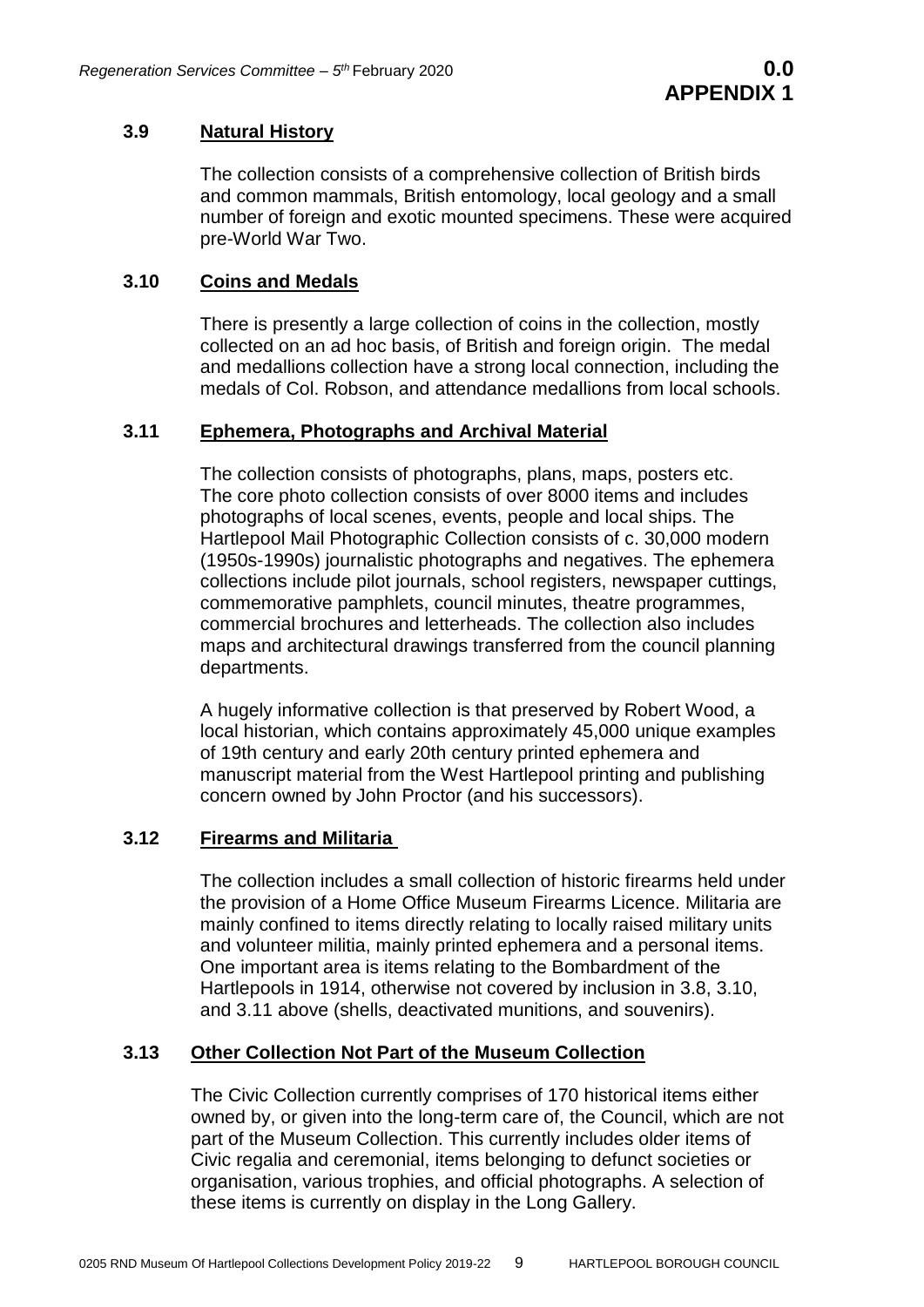# **3.9 Natural History**

The collection consists of a comprehensive collection of British birds and common mammals, British entomology, local geology and a small number of foreign and exotic mounted specimens. These were acquired pre-World War Two.

# **3.10 Coins and Medals**

There is presently a large collection of coins in the collection, mostly collected on an ad hoc basis, of British and foreign origin. The medal and medallions collection have a strong local connection, including the medals of Col. Robson, and attendance medallions from local schools.

# **3.11 Ephemera, Photographs and Archival Material**

The collection consists of photographs, plans, maps, posters etc. The core photo collection consists of over 8000 items and includes photographs of local scenes, events, people and local ships. The Hartlepool Mail Photographic Collection consists of c. 30,000 modern (1950s-1990s) journalistic photographs and negatives. The ephemera collections include pilot journals, school registers, newspaper cuttings, commemorative pamphlets, council minutes, theatre programmes, commercial brochures and letterheads. The collection also includes maps and architectural drawings transferred from the council planning departments.

A hugely informative collection is that preserved by Robert Wood, a local historian, which contains approximately 45,000 unique examples of 19th century and early 20th century printed ephemera and manuscript material from the West Hartlepool printing and publishing concern owned by John Proctor (and his successors).

# **3.12 Firearms and Militaria**

The collection includes a small collection of historic firearms held under the provision of a Home Office Museum Firearms Licence. Militaria are mainly confined to items directly relating to locally raised military units and volunteer militia, mainly printed ephemera and a personal items. One important area is items relating to the Bombardment of the Hartlepools in 1914, otherwise not covered by inclusion in 3.8, 3.10, and 3.11 above (shells, deactivated munitions, and souvenirs).

# **3.13 Other Collection Not Part of the Museum Collection**

The Civic Collection currently comprises of 170 historical items either owned by, or given into the long-term care of, the Council, which are not part of the Museum Collection. This currently includes older items of Civic regalia and ceremonial, items belonging to defunct societies or organisation, various trophies, and official photographs. A selection of these items is currently on display in the Long Gallery.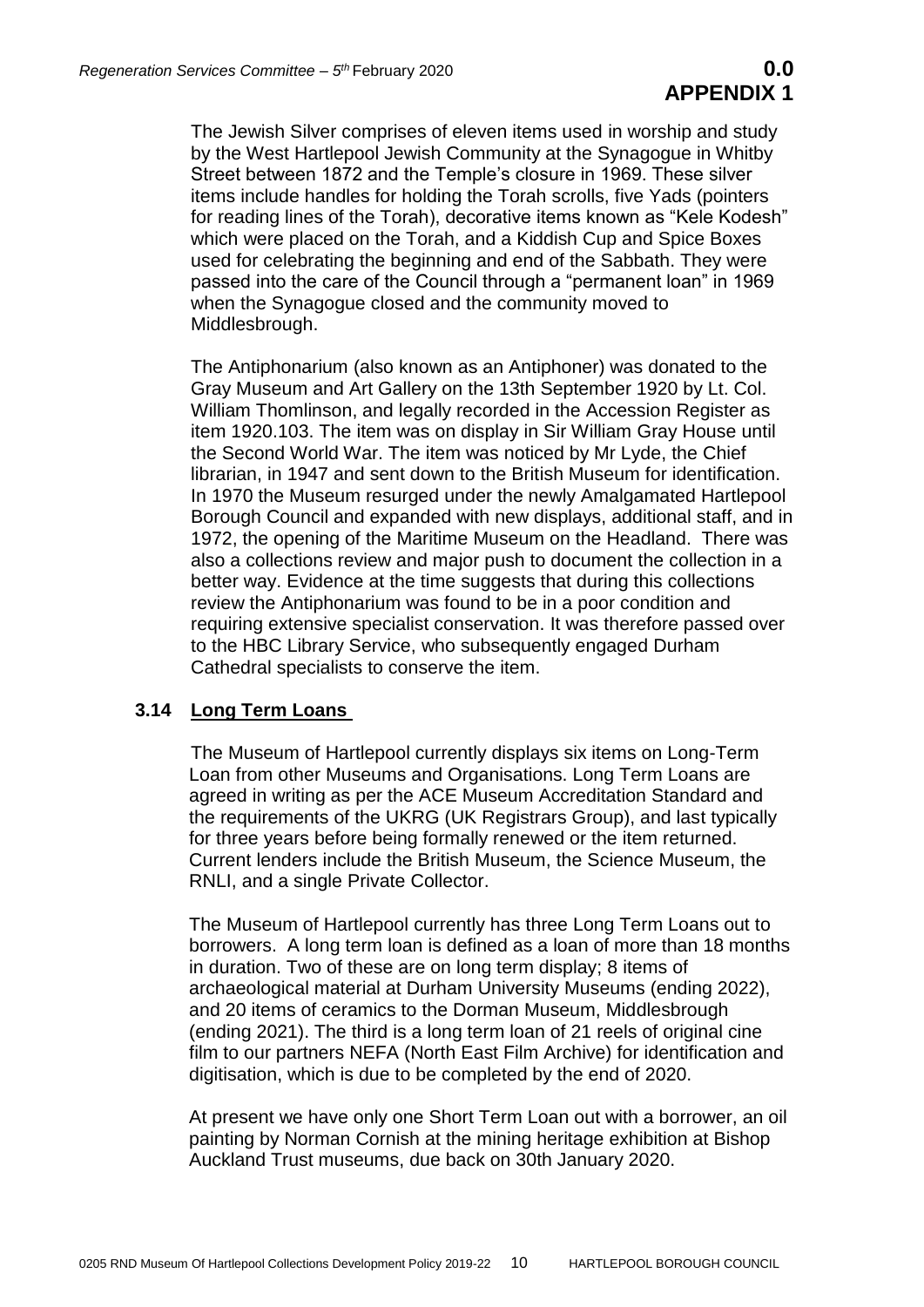The Jewish Silver comprises of eleven items used in worship and study by the West Hartlepool Jewish Community at the Synagogue in Whitby Street between 1872 and the Temple's closure in 1969. These silver items include handles for holding the Torah scrolls, five Yads (pointers for reading lines of the Torah), decorative items known as "Kele Kodesh" which were placed on the Torah, and a Kiddish Cup and Spice Boxes used for celebrating the beginning and end of the Sabbath. They were passed into the care of the Council through a "permanent loan" in 1969 when the Synagogue closed and the community moved to Middlesbrough.

The Antiphonarium (also known as an Antiphoner) was donated to the Gray Museum and Art Gallery on the 13th September 1920 by Lt. Col. William Thomlinson, and legally recorded in the Accession Register as item 1920.103. The item was on display in Sir William Gray House until the Second World War. The item was noticed by Mr Lyde, the Chief librarian, in 1947 and sent down to the British Museum for identification. In 1970 the Museum resurged under the newly Amalgamated Hartlepool Borough Council and expanded with new displays, additional staff, and in 1972, the opening of the Maritime Museum on the Headland. There was also a collections review and major push to document the collection in a better way. Evidence at the time suggests that during this collections review the Antiphonarium was found to be in a poor condition and requiring extensive specialist conservation. It was therefore passed over to the HBC Library Service, who subsequently engaged Durham Cathedral specialists to conserve the item.

# **3.14 Long Term Loans**

The Museum of Hartlepool currently displays six items on Long-Term Loan from other Museums and Organisations. Long Term Loans are agreed in writing as per the ACE Museum Accreditation Standard and the requirements of the UKRG (UK Registrars Group), and last typically for three years before being formally renewed or the item returned. Current lenders include the British Museum, the Science Museum, the RNLI, and a single Private Collector.

The Museum of Hartlepool currently has three Long Term Loans out to borrowers. A long term loan is defined as a loan of more than 18 months in duration. Two of these are on long term display; 8 items of archaeological material at Durham University Museums (ending 2022), and 20 items of ceramics to the Dorman Museum, Middlesbrough (ending 2021). The third is a long term loan of 21 reels of original cine film to our partners NEFA (North East Film Archive) for identification and digitisation, which is due to be completed by the end of 2020.

At present we have only one Short Term Loan out with a borrower, an oil painting by Norman Cornish at the mining heritage exhibition at Bishop Auckland Trust museums, due back on 30th January 2020.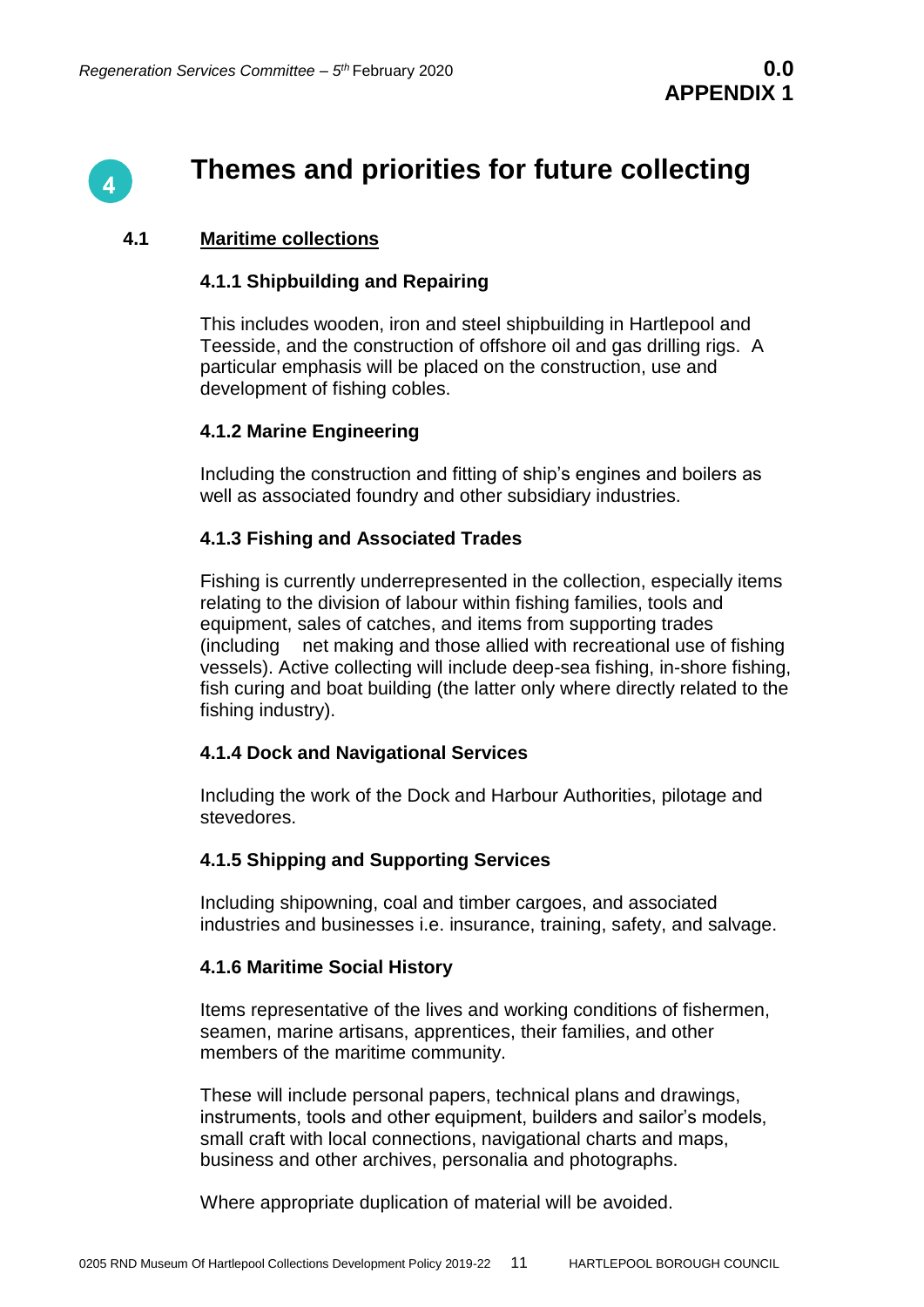

# **Themes and priorities for future collecting**

### **4.1 Maritime collections**

#### **4.1.1 Shipbuilding and Repairing**

This includes wooden, iron and steel shipbuilding in Hartlepool and Teesside, and the construction of offshore oil and gas drilling rigs. A particular emphasis will be placed on the construction, use and development of fishing cobles.

#### **4.1.2 Marine Engineering**

Including the construction and fitting of ship's engines and boilers as well as associated foundry and other subsidiary industries.

#### **4.1.3 Fishing and Associated Trades**

Fishing is currently underrepresented in the collection, especially items relating to the division of labour within fishing families, tools and equipment, sales of catches, and items from supporting trades (including net making and those allied with recreational use of fishing vessels). Active collecting will include deep-sea fishing, in-shore fishing, fish curing and boat building (the latter only where directly related to the fishing industry).

#### **4.1.4 Dock and Navigational Services**

Including the work of the Dock and Harbour Authorities, pilotage and stevedores.

#### **4.1.5 Shipping and Supporting Services**

Including shipowning, coal and timber cargoes, and associated industries and businesses i.e. insurance, training, safety, and salvage.

#### **4.1.6 Maritime Social History**

Items representative of the lives and working conditions of fishermen, seamen, marine artisans, apprentices, their families, and other members of the maritime community.

These will include personal papers, technical plans and drawings, instruments, tools and other equipment, builders and sailor's models, small craft with local connections, navigational charts and maps, business and other archives, personalia and photographs.

Where appropriate duplication of material will be avoided.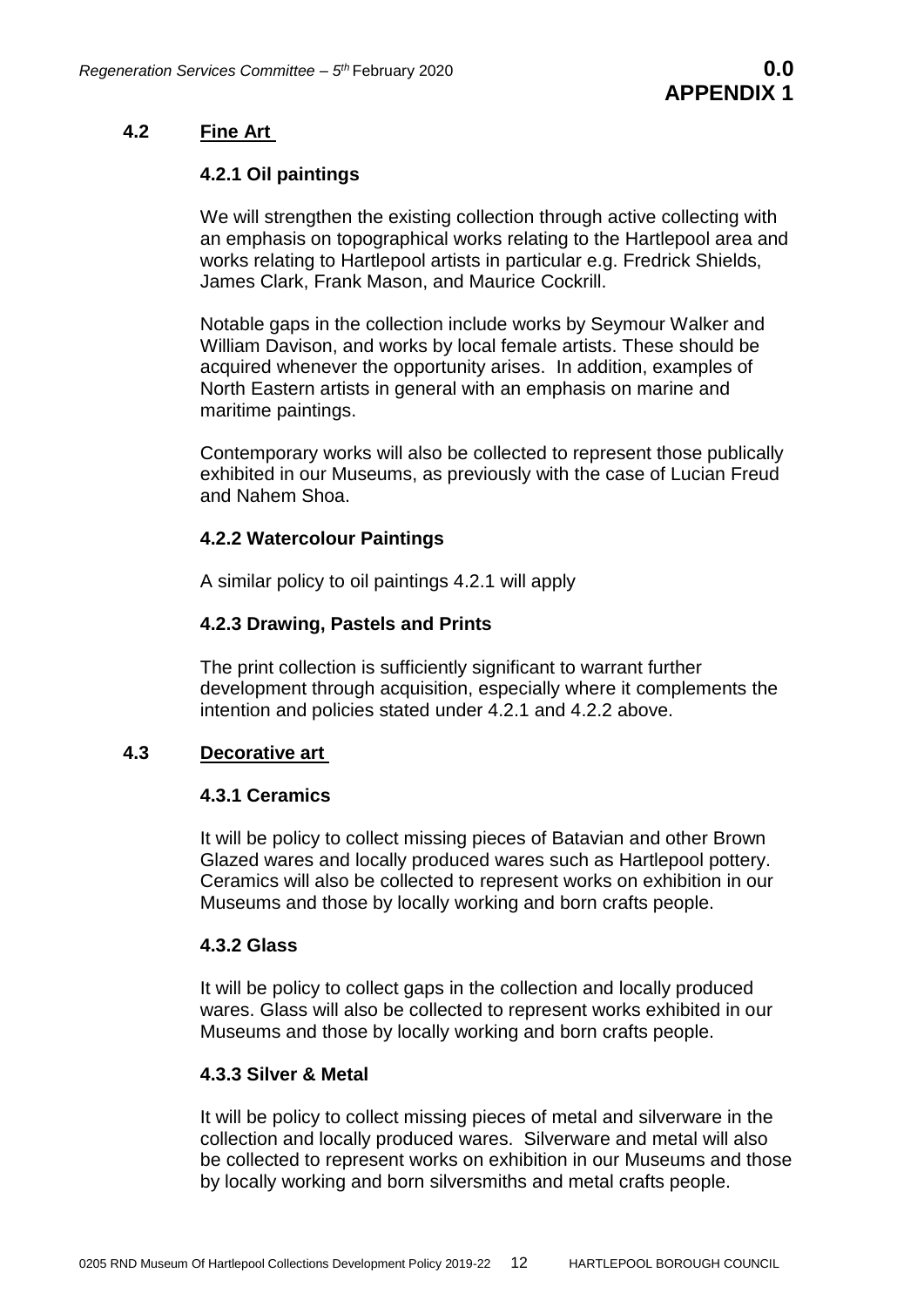# **4.2 Fine Art**

# **4.2.1 Oil paintings**

We will strengthen the existing collection through active collecting with an emphasis on topographical works relating to the Hartlepool area and works relating to Hartlepool artists in particular e.g. Fredrick Shields, James Clark, Frank Mason, and Maurice Cockrill.

Notable gaps in the collection include works by Seymour Walker and William Davison, and works by local female artists. These should be acquired whenever the opportunity arises. In addition, examples of North Eastern artists in general with an emphasis on marine and maritime paintings.

Contemporary works will also be collected to represent those publically exhibited in our Museums, as previously with the case of Lucian Freud and Nahem Shoa.

# **4.2.2 Watercolour Paintings**

A similar policy to oil paintings 4.2.1 will apply

# **4.2.3 Drawing, Pastels and Prints**

The print collection is sufficiently significant to warrant further development through acquisition, especially where it complements the intention and policies stated under 4.2.1 and 4.2.2 above.

# **4.3 Decorative art**

#### **4.3.1 Ceramics**

It will be policy to collect missing pieces of Batavian and other Brown Glazed wares and locally produced wares such as Hartlepool pottery. Ceramics will also be collected to represent works on exhibition in our Museums and those by locally working and born crafts people.

#### **4.3.2 Glass**

It will be policy to collect gaps in the collection and locally produced wares. Glass will also be collected to represent works exhibited in our Museums and those by locally working and born crafts people.

#### **4.3.3 Silver & Metal**

It will be policy to collect missing pieces of metal and silverware in the collection and locally produced wares. Silverware and metal will also be collected to represent works on exhibition in our Museums and those by locally working and born silversmiths and metal crafts people.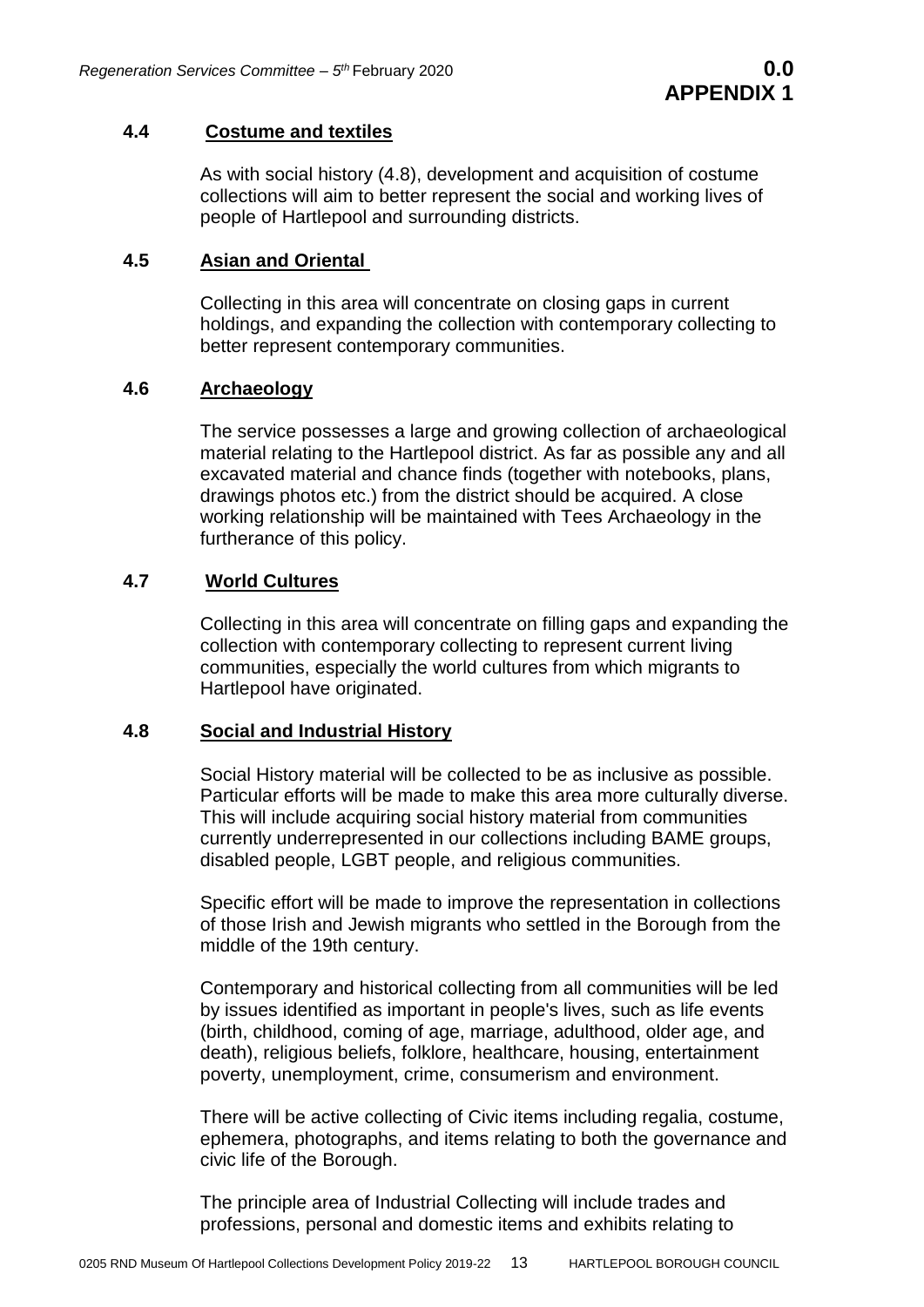#### **4.4 Costume and textiles**

As with social history (4.8), development and acquisition of costume collections will aim to better represent the social and working lives of people of Hartlepool and surrounding districts.

# **4.5 Asian and Oriental**

Collecting in this area will concentrate on closing gaps in current holdings, and expanding the collection with contemporary collecting to better represent contemporary communities.

#### **4.6 Archaeology**

The service possesses a large and growing collection of archaeological material relating to the Hartlepool district. As far as possible any and all excavated material and chance finds (together with notebooks, plans, drawings photos etc.) from the district should be acquired. A close working relationship will be maintained with Tees Archaeology in the furtherance of this policy.

# **4.7 World Cultures**

Collecting in this area will concentrate on filling gaps and expanding the collection with contemporary collecting to represent current living communities, especially the world cultures from which migrants to Hartlepool have originated.

#### **4.8 Social and Industrial History**

Social History material will be collected to be as inclusive as possible. Particular efforts will be made to make this area more culturally diverse. This will include acquiring social history material from communities currently underrepresented in our collections including BAME groups, disabled people, LGBT people, and religious communities.

Specific effort will be made to improve the representation in collections of those Irish and Jewish migrants who settled in the Borough from the middle of the 19th century.

Contemporary and historical collecting from all communities will be led by issues identified as important in people's lives, such as life events (birth, childhood, coming of age, marriage, adulthood, older age, and death), religious beliefs, folklore, healthcare, housing, entertainment poverty, unemployment, crime, consumerism and environment.

There will be active collecting of Civic items including regalia, costume, ephemera, photographs, and items relating to both the governance and civic life of the Borough.

The principle area of Industrial Collecting will include trades and professions, personal and domestic items and exhibits relating to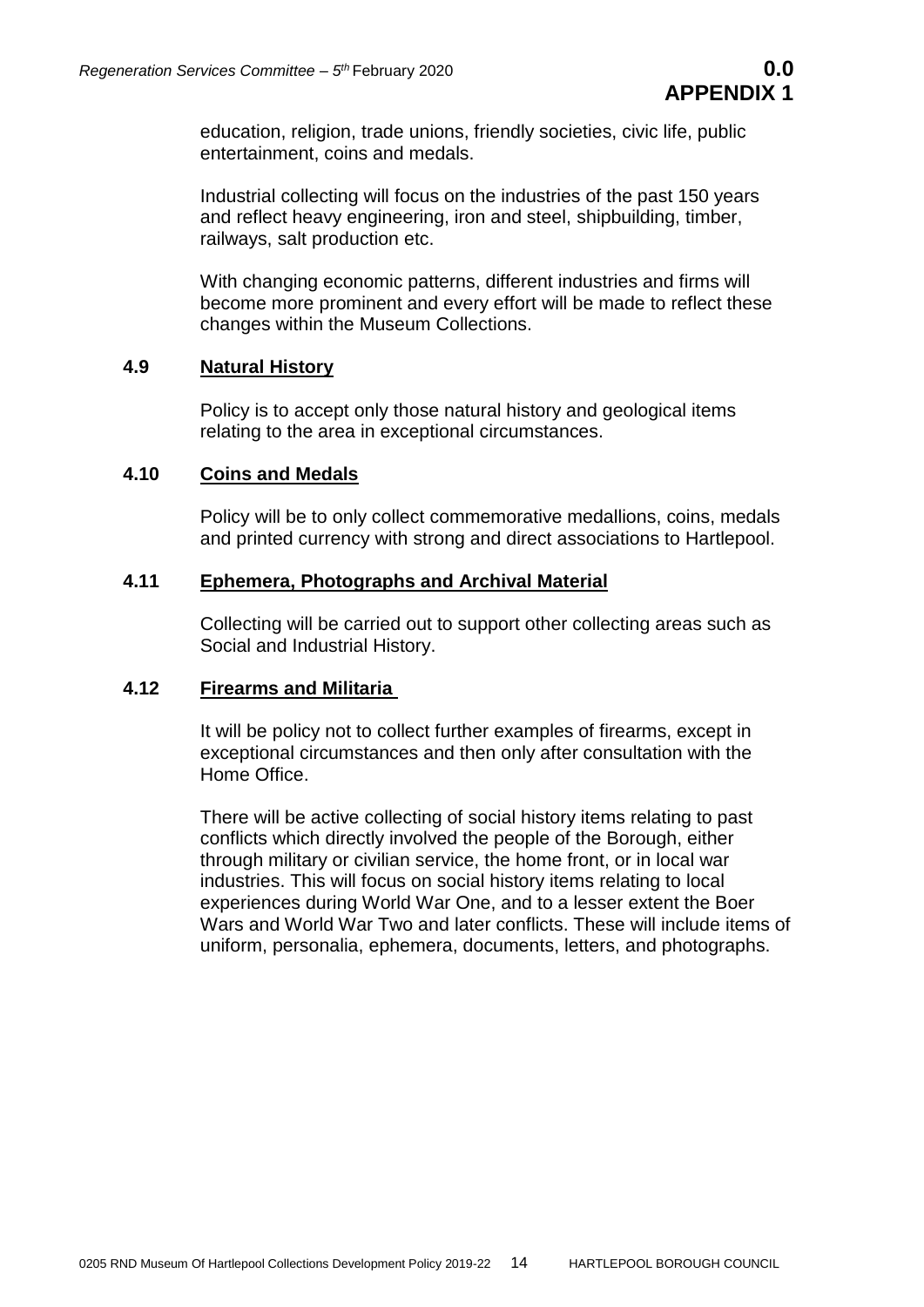education, religion, trade unions, friendly societies, civic life, public entertainment, coins and medals.

Industrial collecting will focus on the industries of the past 150 years and reflect heavy engineering, iron and steel, shipbuilding, timber, railways, salt production etc.

With changing economic patterns, different industries and firms will become more prominent and every effort will be made to reflect these changes within the Museum Collections.

# **4.9 Natural History**

Policy is to accept only those natural history and geological items relating to the area in exceptional circumstances.

# **4.10 Coins and Medals**

Policy will be to only collect commemorative medallions, coins, medals and printed currency with strong and direct associations to Hartlepool.

# **4.11 Ephemera, Photographs and Archival Material**

Collecting will be carried out to support other collecting areas such as Social and Industrial History.

# **4.12 Firearms and Militaria**

It will be policy not to collect further examples of firearms, except in exceptional circumstances and then only after consultation with the Home Office.

There will be active collecting of social history items relating to past conflicts which directly involved the people of the Borough, either through military or civilian service, the home front, or in local war industries. This will focus on social history items relating to local experiences during World War One, and to a lesser extent the Boer Wars and World War Two and later conflicts. These will include items of uniform, personalia, ephemera, documents, letters, and photographs.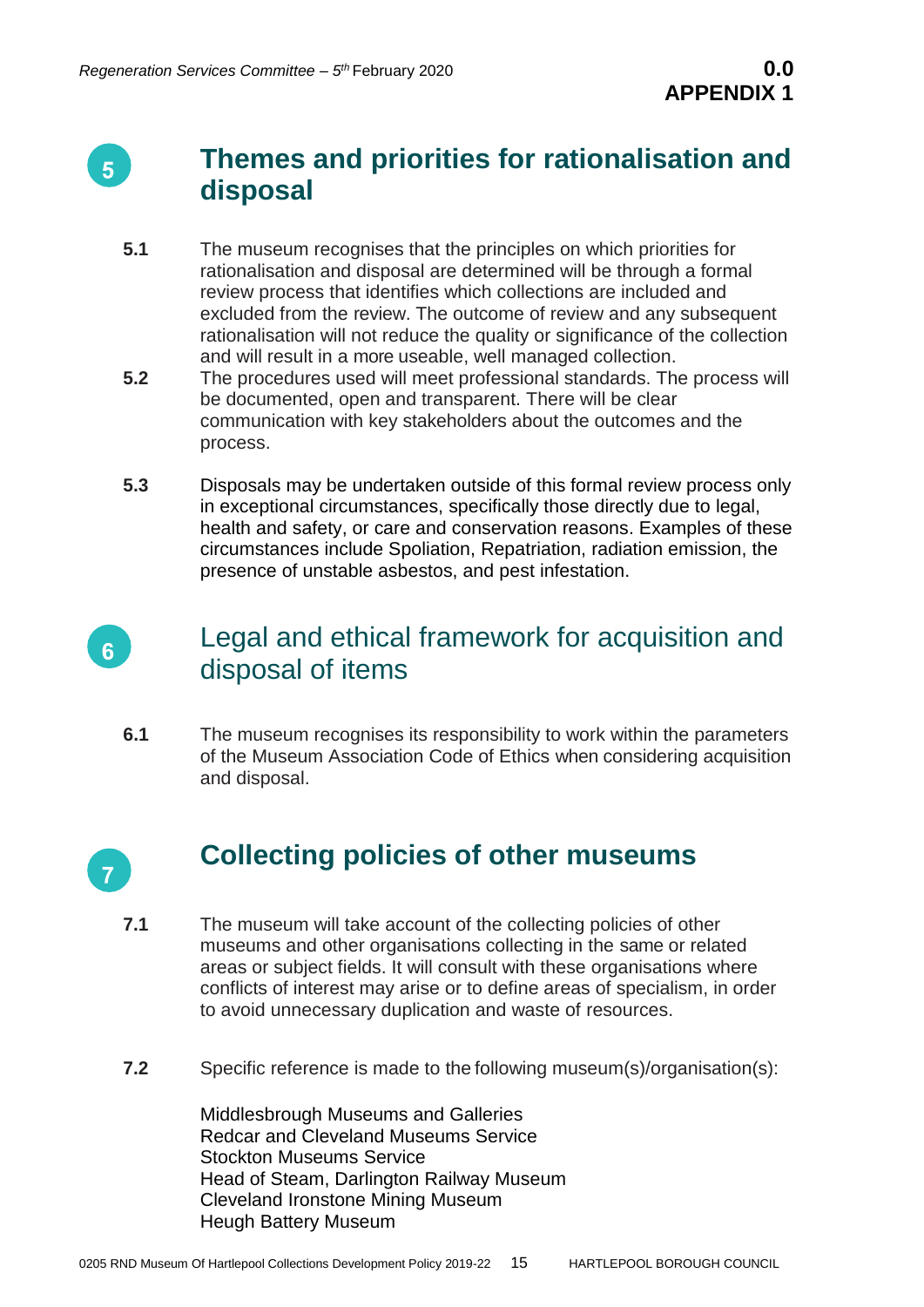

# **Themes and priorities for rationalisation and disposal**

- **5.1** The museum recognises that the principles on which priorities for rationalisation and disposal are determined will be through a formal review process that identifies which collections are included and excluded from the review. The outcome of review and any subsequent rationalisation will not reduce the quality or significance of the collection and will result in a more useable, well managed collection.
- **5.2** The procedures used will meet professional standards. The process will be documented, open and transparent. There will be clear communication with key stakeholders about the outcomes and the process.
- **5.3** Disposals may be undertaken outside of this formal review process only in exceptional circumstances, specifically those directly due to legal, health and safety, or care and conservation reasons. Examples of these circumstances include Spoliation, Repatriation, radiation emission, the presence of unstable asbestos, and pest infestation.



# Legal and ethical framework for acquisition and disposal of items

**6.1** The museum recognises its responsibility to work within the parameters of the Museum Association Code of Ethics when considering acquisition and disposal.



# **Collecting policies of other museums**

- **7.1** The museum will take account of the collecting policies of other museums and other organisations collecting in the same or related areas or subject fields. It will consult with these organisations where conflicts of interest may arise or to define areas of specialism, in order to avoid unnecessary duplication and waste of resources.
- **7.2** Specific reference is made to the following museum(s)/organisation(s):

Middlesbrough Museums and Galleries Redcar and Cleveland Museums Service Stockton Museums Service Head of Steam, Darlington Railway Museum Cleveland Ironstone Mining Museum Heugh Battery Museum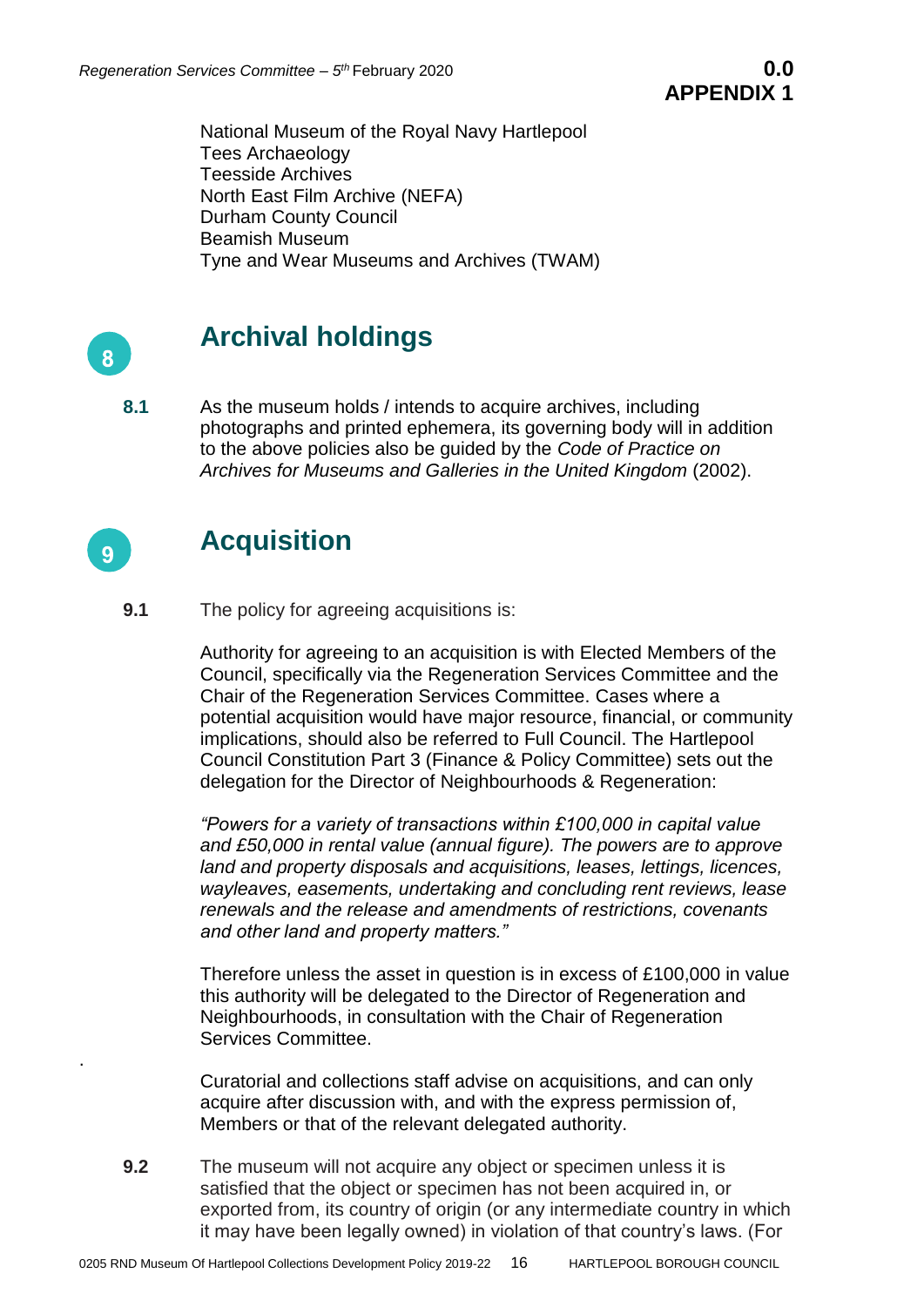National Museum of the Royal Navy Hartlepool Tees Archaeology Teesside Archives North East Film Archive (NEFA) Durham County Council Beamish Museum Tyne and Wear Museums and Archives (TWAM)



# **Archival holdings**

**8.1** As the museum holds / intends to acquire archives, including photographs and printed ephemera, its governing body will in addition to the above policies also be guided by the *Code of Practice on Archives for Museums and Galleries in the United Kingdom* (2002).



.

# **Acquisition**

**9.1** The policy for agreeing acquisitions is:

Authority for agreeing to an acquisition is with Elected Members of the Council, specifically via the Regeneration Services Committee and the Chair of the Regeneration Services Committee. Cases where a potential acquisition would have major resource, financial, or community implications, should also be referred to Full Council. The Hartlepool Council Constitution Part 3 (Finance & Policy Committee) sets out the delegation for the Director of Neighbourhoods & Regeneration:

*"Powers for a variety of transactions within £100,000 in capital value and £50,000 in rental value (annual figure). The powers are to approve land and property disposals and acquisitions, leases, lettings, licences, wayleaves, easements, undertaking and concluding rent reviews, lease renewals and the release and amendments of restrictions, covenants and other land and property matters."* 

Therefore unless the asset in question is in excess of £100,000 in value this authority will be delegated to the Director of Regeneration and Neighbourhoods, in consultation with the Chair of Regeneration Services Committee.

Curatorial and collections staff advise on acquisitions, and can only acquire after discussion with, and with the express permission of, Members or that of the relevant delegated authority.

**9.2** The museum will not acquire any object or specimen unless it is satisfied that the object or specimen has not been acquired in, or exported from, its country of origin (or any intermediate country in which it may have been legally owned) in violation of that country's laws. (For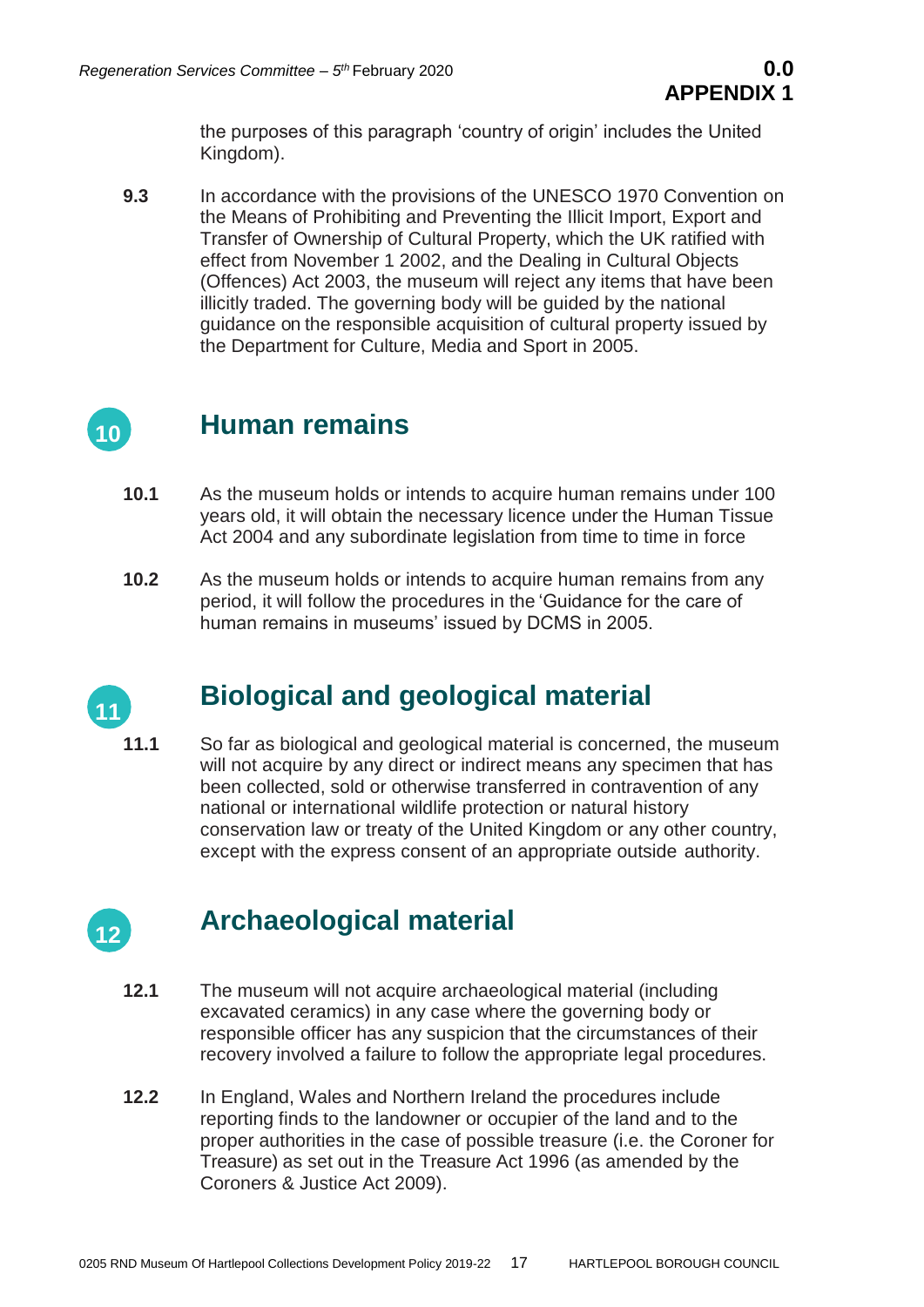the purposes of this paragraph 'country of origin' includes the United Kingdom).

**9.3** In accordance with the provisions of the UNESCO 1970 Convention on the Means of Prohibiting and Preventing the Illicit Import, Export and Transfer of Ownership of Cultural Property, which the UK ratified with effect from November 1 2002, and the Dealing in Cultural Objects (Offences) Act 2003, the museum will reject any items that have been illicitly traded. The governing body will be guided by the national guidance on the responsible acquisition of cultural property issued by the Department for Culture, Media and Sport in 2005.



# **Human remains**

- **10.1** As the museum holds or intends to acquire human remains under 100 years old, it will obtain the necessary licence under the Human Tissue Act 2004 and any subordinate legislation from time to time in force
- **10.2** As the museum holds or intends to acquire human remains from any period, it will follow the procedures in the 'Guidance for the care of human remains in museums' issued by DCMS in 2005.



# **Biological and geological material**

**11.1** So far as biological and geological material is concerned, the museum will not acquire by any direct or indirect means any specimen that has been collected, sold or otherwise transferred in contravention of any national or international wildlife protection or natural history conservation law or treaty of the United Kingdom or any other country, except with the express consent of an appropriate outside authority.



# **Archaeological material**

- **12.1** The museum will not acquire archaeological material (including excavated ceramics) in any case where the governing body or responsible officer has any suspicion that the circumstances of their recovery involved a failure to follow the appropriate legal procedures.
- **12.2** In England, Wales and Northern Ireland the procedures include reporting finds to the landowner or occupier of the land and to the proper authorities in the case of possible treasure (i.e. the Coroner for Treasure) as set out in the Treasure Act 1996 (as amended by the Coroners & Justice Act 2009).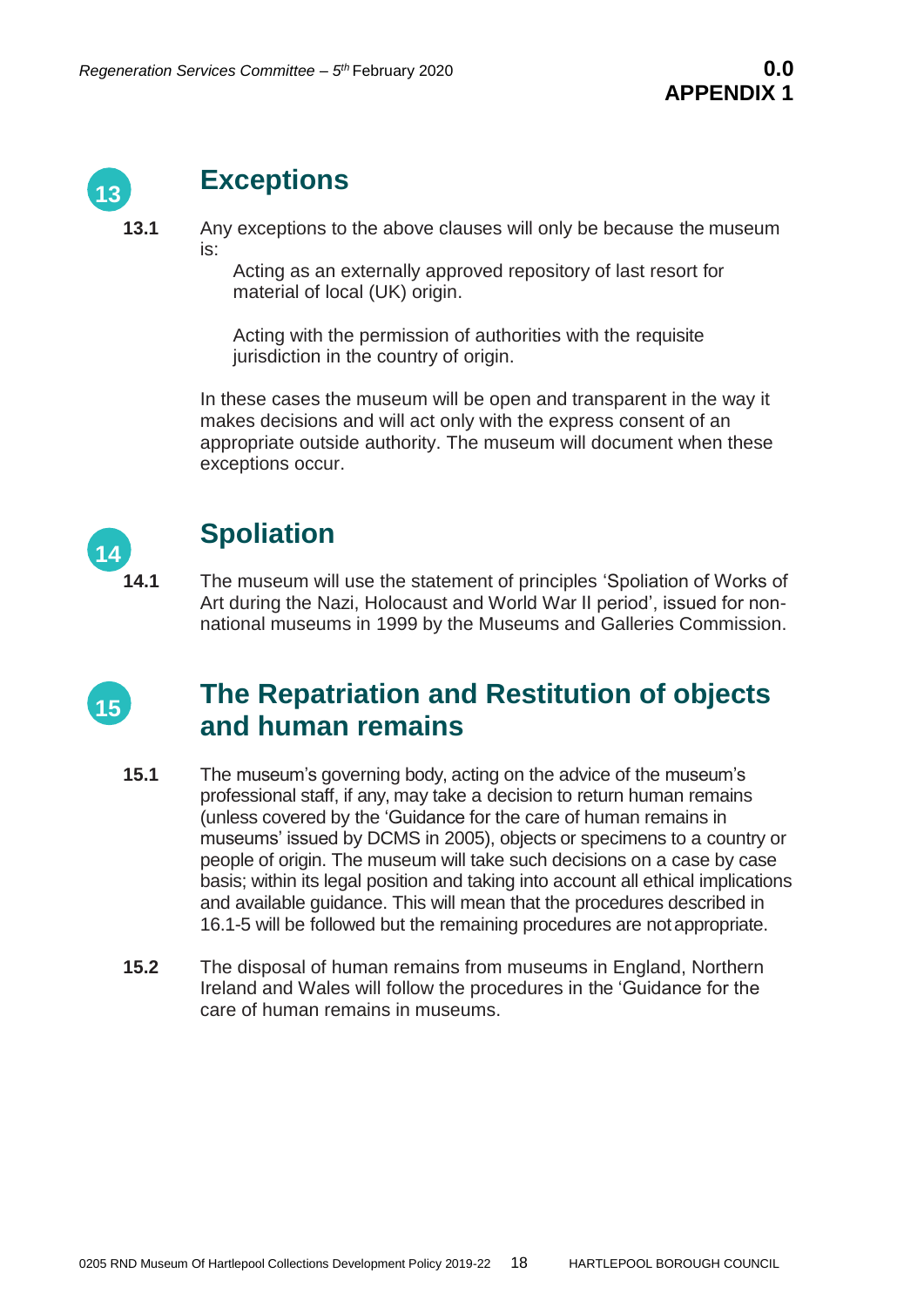

# **Exceptions**

**13.1** Any exceptions to the above clauses will only be because the museum is:

Acting as an externally approved repository of last resort for material of local (UK) origin.

Acting with the permission of authorities with the requisite jurisdiction in the country of origin.

In these cases the museum will be open and transparent in the way it makes decisions and will act only with the express consent of an appropriate outside authority. The museum will document when these exceptions occur.



# **Spoliation**

**14.1** The museum will use the statement of principles 'Spoliation of Works of Art during the Nazi, Holocaust and World War II period', issued for nonnational museums in 1999 by the Museums and Galleries Commission.



# **The Repatriation and Restitution of objects and human remains**

- **15.1** The museum's governing body, acting on the advice of the museum's professional staff, if any, may take a decision to return human remains (unless covered by the 'Guidance for the care of human remains in museums' issued by DCMS in 2005), objects or specimens to a country or people of origin. The museum will take such decisions on a case by case basis; within its legal position and taking into account all ethical implications and available guidance. This will mean that the procedures described in 16.1-5 will be followed but the remaining procedures are notappropriate.
- **15.2** The disposal of human remains from museums in England, Northern Ireland and Wales will follow the procedures in the 'Guidance for the care of human remains in museums.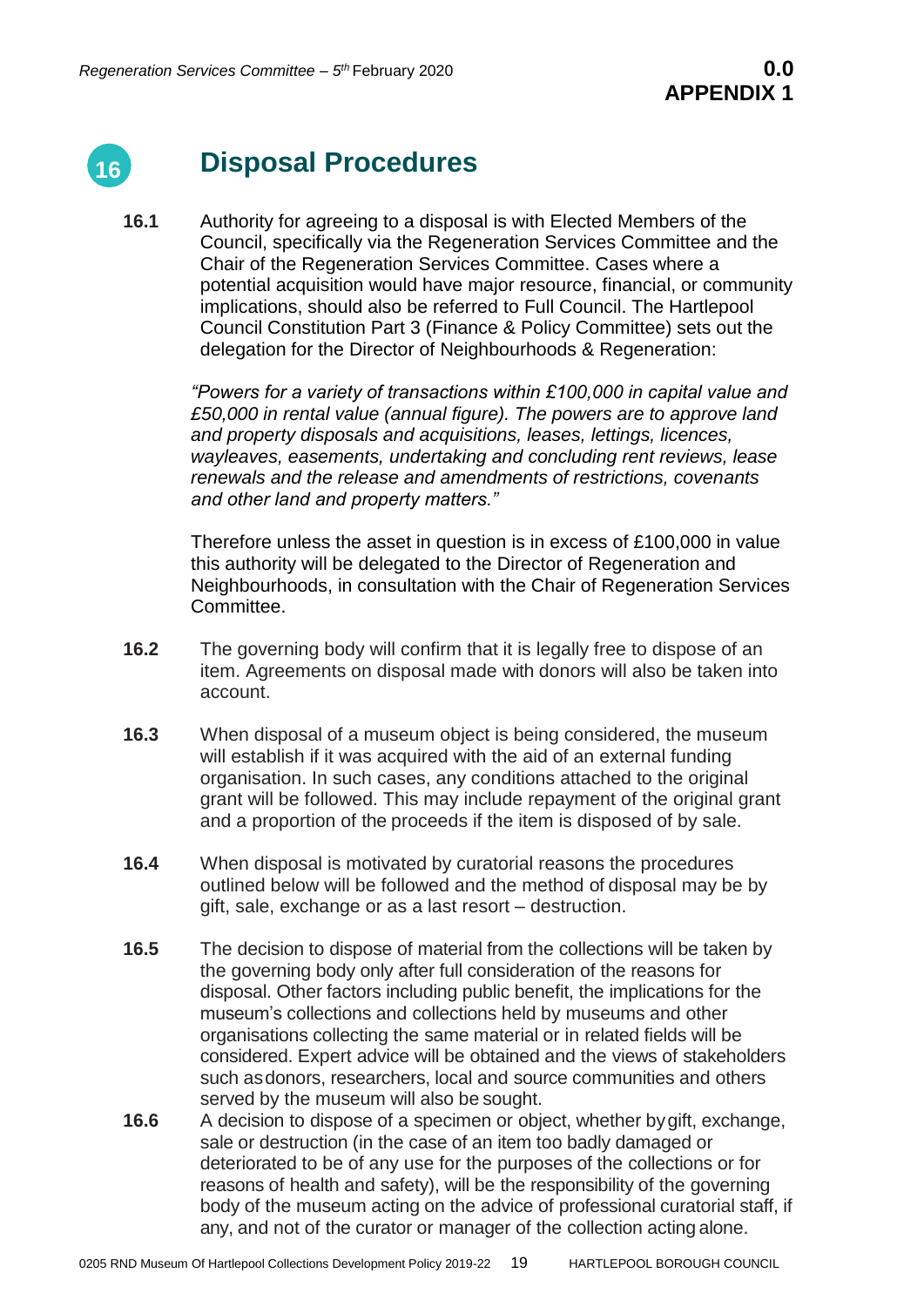

# **Disposal Procedures**

**16.1** Authority for agreeing to a disposal is with Elected Members of the Council, specifically via the Regeneration Services Committee and the Chair of the Regeneration Services Committee. Cases where a potential acquisition would have major resource, financial, or community implications, should also be referred to Full Council. The Hartlepool Council Constitution Part 3 (Finance & Policy Committee) sets out the delegation for the Director of Neighbourhoods & Regeneration:

> *"Powers for a variety of transactions within £100,000 in capital value and £50,000 in rental value (annual figure). The powers are to approve land and property disposals and acquisitions, leases, lettings, licences, wayleaves, easements, undertaking and concluding rent reviews, lease renewals and the release and amendments of restrictions, covenants and other land and property matters."*

> Therefore unless the asset in question is in excess of £100,000 in value this authority will be delegated to the Director of Regeneration and Neighbourhoods, in consultation with the Chair of Regeneration Services Committee.

- **16.2** The governing body will confirm that it is legally free to dispose of an item. Agreements on disposal made with donors will also be taken into account.
- **16.3** When disposal of a museum object is being considered, the museum will establish if it was acquired with the aid of an external funding organisation. In such cases, any conditions attached to the original grant will be followed. This may include repayment of the original grant and a proportion of the proceeds if the item is disposed of by sale.
- **16.4** When disposal is motivated by curatorial reasons the procedures outlined below will be followed and the method of disposal may be by gift, sale, exchange or as a last resort – destruction.
- **16.5** The decision to dispose of material from the collections will be taken by the governing body only after full consideration of the reasons for disposal. Other factors including public benefit, the implications for the museum's collections and collections held by museums and other organisations collecting the same material or in related fields will be considered. Expert advice will be obtained and the views of stakeholders such asdonors, researchers, local and source communities and others served by the museum will also be sought.
- **16.6** A decision to dispose of a specimen or object, whether bygift, exchange, sale or destruction (in the case of an item too badly damaged or deteriorated to be of any use for the purposes of the collections or for reasons of health and safety), will be the responsibility of the governing body of the museum acting on the advice of professional curatorial staff, if any, and not of the curator or manager of the collection acting alone.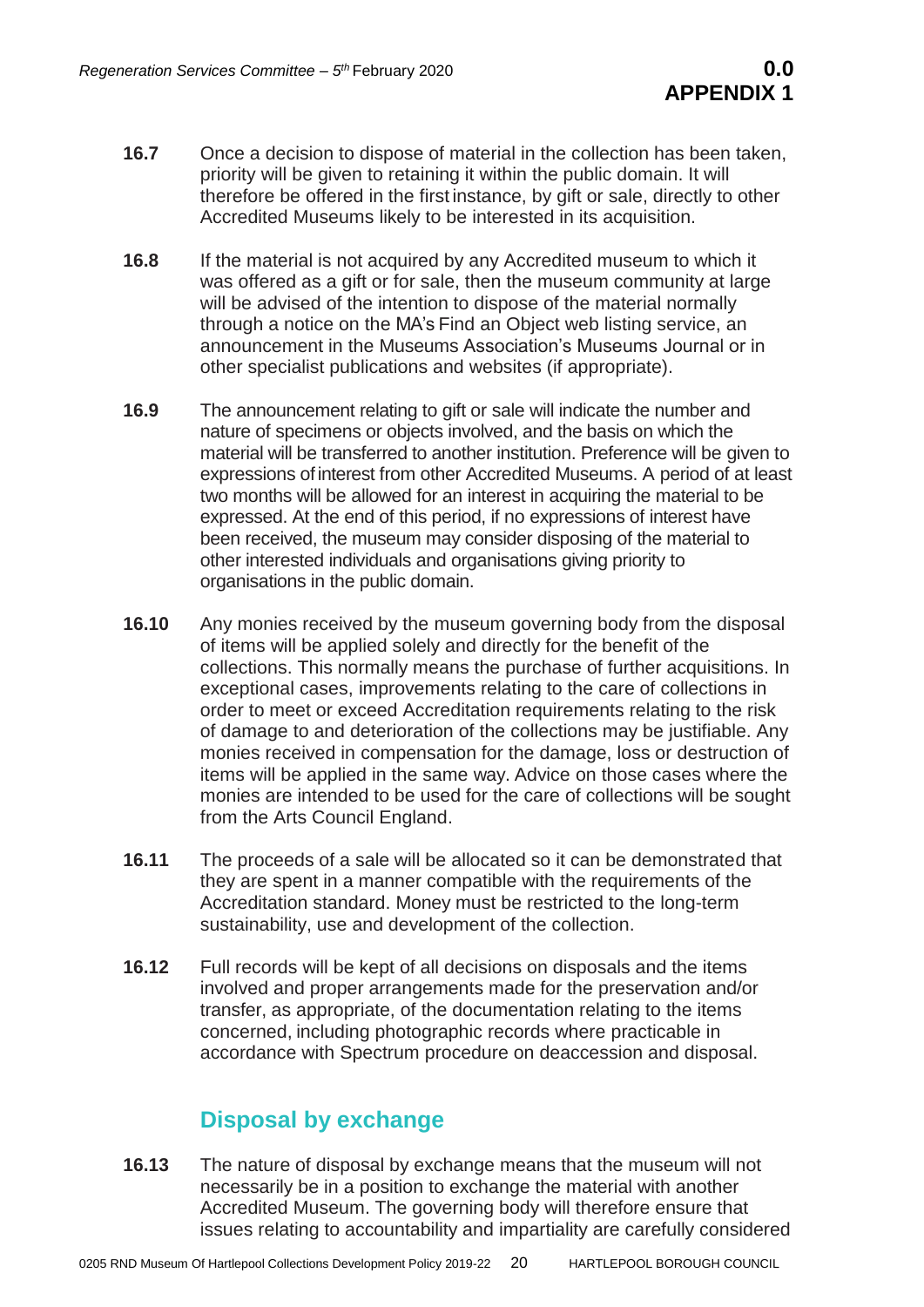- **16.7** Once a decision to dispose of material in the collection has been taken, priority will be given to retaining it within the public domain. It will therefore be offered in the first instance, by gift or sale, directly to other Accredited Museums likely to be interested in its acquisition.
- **16.8** If the material is not acquired by any Accredited museum to which it was offered as a gift or for sale, then the museum community at large will be advised of the intention to dispose of the material normally through a notice on the MA's Find an Object web listing service, an announcement in the Museums Association's Museums Journal or in other specialist publications and websites (if appropriate).
- **16.9** The announcement relating to gift or sale will indicate the number and nature of specimens or objects involved, and the basis on which the material will be transferred to another institution. Preference will be given to expressions ofinterest from other Accredited Museums. A period of at least two months will be allowed for an interest in acquiring the material to be expressed. At the end of this period, if no expressions of interest have been received, the museum may consider disposing of the material to other interested individuals and organisations giving priority to organisations in the public domain.
- **16.10** Any monies received by the museum governing body from the disposal of items will be applied solely and directly for the benefit of the collections. This normally means the purchase of further acquisitions. In exceptional cases, improvements relating to the care of collections in order to meet or exceed Accreditation requirements relating to the risk of damage to and deterioration of the collections may be justifiable. Any monies received in compensation for the damage, loss or destruction of items will be applied in the same way. Advice on those cases where the monies are intended to be used for the care of collections will be sought from the Arts Council England.
- **16.11** The proceeds of a sale will be allocated so it can be demonstrated that they are spent in a manner compatible with the requirements of the Accreditation standard. Money must be restricted to the long-term sustainability, use and development of the collection.
- **16.12** Full records will be kept of all decisions on disposals and the items involved and proper arrangements made for the preservation and/or transfer, as appropriate, of the documentation relating to the items concerned, including photographic records where practicable in accordance with Spectrum procedure on deaccession and disposal.

# **Disposal by exchange**

**16.13** The nature of disposal by exchange means that the museum will not necessarily be in a position to exchange the material with another Accredited Museum. The governing body will therefore ensure that issues relating to accountability and impartiality are carefully considered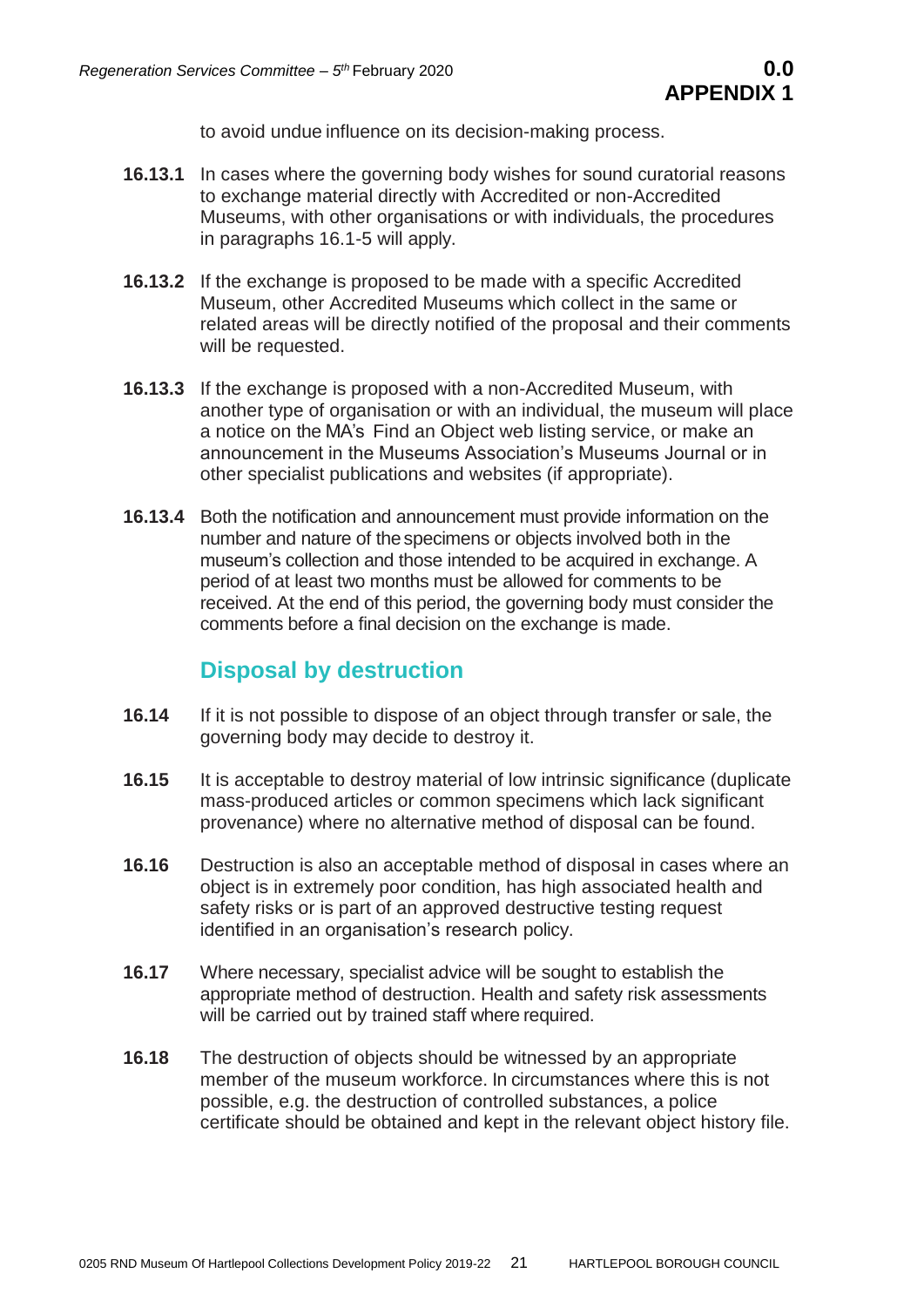to avoid undue influence on its decision-making process.

- **16.13.1** In cases where the governing body wishes for sound curatorial reasons to exchange material directly with Accredited or non-Accredited Museums, with other organisations or with individuals, the procedures in paragraphs 16.1-5 will apply.
- **16.13.2** If the exchange is proposed to be made with a specific Accredited Museum, other Accredited Museums which collect in the same or related areas will be directly notified of the proposal and their comments will be requested.
- **16.13.3** If the exchange is proposed with a non-Accredited Museum, with another type of organisation or with an individual, the museum will place a notice on the MA's Find an Object web listing service, or make an announcement in the Museums Association's Museums Journal or in other specialist publications and websites (if appropriate).
- **16.13.4** Both the notification and announcement must provide information on the number and nature of thespecimens or objects involved both in the museum's collection and those intended to be acquired in exchange. A period of at least two months must be allowed for comments to be received. At the end of this period, the governing body must consider the comments before a final decision on the exchange is made.

# **Disposal by destruction**

- **16.14** If it is not possible to dispose of an object through transfer or sale, the governing body may decide to destroy it.
- **16.15** It is acceptable to destroy material of low intrinsic significance (duplicate mass-produced articles or common specimens which lack significant provenance) where no alternative method of disposal can be found.
- **16.16** Destruction is also an acceptable method of disposal in cases where an object is in extremely poor condition, has high associated health and safety risks or is part of an approved destructive testing request identified in an organisation's research policy.
- **16.17** Where necessary, specialist advice will be sought to establish the appropriate method of destruction. Health and safety risk assessments will be carried out by trained staff where required.
- **16.18** The destruction of objects should be witnessed by an appropriate member of the museum workforce. In circumstances where this is not possible, e.g. the destruction of controlled substances, a police certificate should be obtained and kept in the relevant object history file.